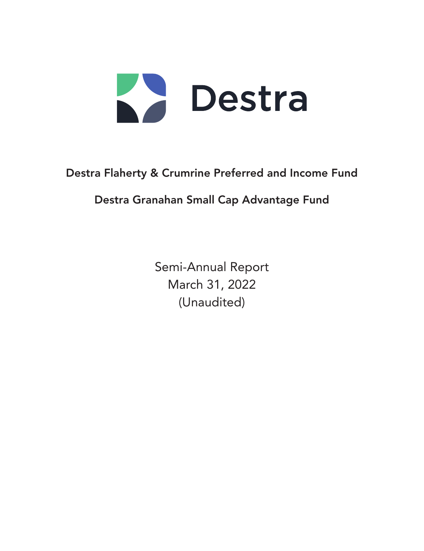

# Destra Flaherty & Crumrine Preferred and Income Fund

# Destra Granahan Small Cap Advantage Fund

Semi-Annual Report March 31, 2022 (Unaudited)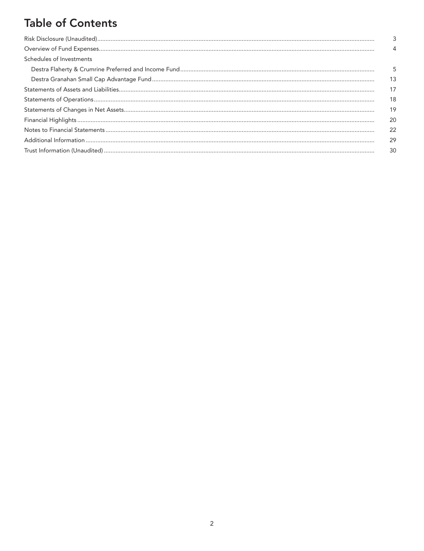# **Table of Contents**

| Schedules of Investments |    |
|--------------------------|----|
|                          | 5  |
|                          | 13 |
|                          | 17 |
|                          | 18 |
|                          | 19 |
|                          | 20 |
|                          | 22 |
|                          | 29 |
|                          | 30 |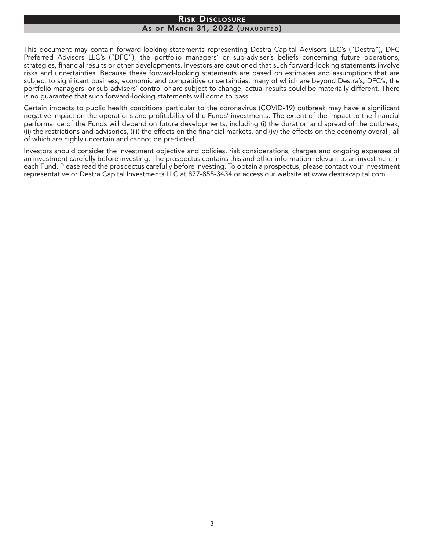#### Risk Disclosure As OF MARCH 31, 2022 (UNAUDITED)

This document may contain forward-looking statements representing Destra Capital Advisors LLC's ("Destra"), DFC Preferred Advisors LLC's ("DFC"), the portfolio managers' or sub-adviser's beliefs concerning future operations, strategies, financial results or other developments. Investors are cautioned that such forward-looking statements involve risks and uncertainties. Because these forward-looking statements are based on estimates and assumptions that are subject to significant business, economic and competitive uncertainties, many of which are beyond Destra's, DFC's, the portfolio managers' or sub-advisers' control or are subject to change, actual results could be materially different. There is no guarantee that such forward-looking statements will come to pass.

Certain impacts to public health conditions particular to the coronavirus (COVID-19) outbreak may have a significant negative impact on the operations and profitability of the Funds' investments. The extent of the impact to the financial performance of the Funds will depend on future developments, including (i) the duration and spread of the outbreak, (ii) the restrictions and advisories, (iii) the effects on the financial markets, and (iv) the effects on the economy overall, all of which are highly uncertain and cannot be predicted.

Investors should consider the investment objective and policies, risk considerations, charges and ongoing expenses of an investment carefully before investing. The prospectus contains this and other information relevant to an investment in each Fund. Please read the prospectus carefully before investing. To obtain a prospectus, please contact your investment representative or Destra Capital Investments LLC at 877-855-3434 or access our website at www.destracapital.com.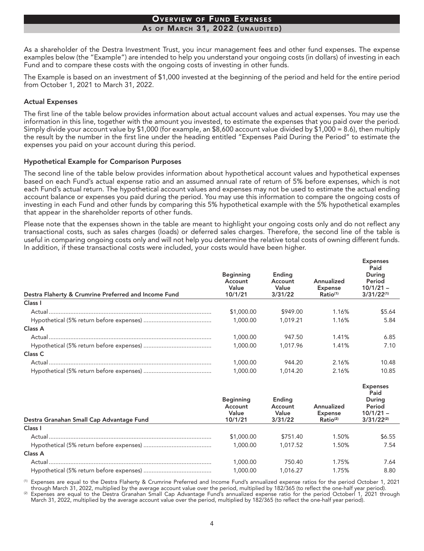#### **OVERVIEW OF FUND EXPENSES** AS OF MARCH 31, 2022 (UNAUDITED)

As a shareholder of the Destra Investment Trust, you incur management fees and other fund expenses. The expense examples below (the "Example") are intended to help you understand your ongoing costs (in dollars) of investing in each Fund and to compare these costs with the ongoing costs of investing in other funds.

The Example is based on an investment of \$1,000 invested at the beginning of the period and held for the entire period from October 1, 2021 to March 31, 2022.

#### **Actual Expenses**

The first line of the table below provides information about actual account values and actual expenses. You may use the information in this line, together with the amount you invested, to estimate the expenses that you paid over the period. Simply divide your account value by \$1,000 (for example, an \$8,600 account value divided by \$1,000 = 8.6), then multiply the result by the number in the first line under the heading entitled "Expenses Paid During the Period" to estimate the expenses you paid on your account during this period.

#### **Hypothetical Example for Comparison Purposes**

The second line of the table below provides information about hypothetical account values and hypothetical expenses based on each Fund's actual expense ratio and an assumed annual rate of return of 5% before expenses, which is not each Fund's actual return. The hypothetical account values and expenses may not be used to estimate the actual ending account balance or expenses you paid during the period. You may use this information to compare the ongoing costs of investing in each Fund and other funds by comparing this 5% hypothetical example with the 5% hypothetical examples that appear in the shareholder reports of other funds.

Please note that the expenses shown in the table are meant to highlight your ongoing costs only and do not reflect any transactional costs, such as sales charges (loads) or deferred sales charges. Therefore, the second line of the table is useful in comparing ongoing costs only and will not help you determine the relative total costs of owning different funds. In addition, if these transactional costs were included, your costs would have been higher.

| Destra Flaherty & Crumrine Preferred and Income Fund | <b>Beginning</b><br>Account<br>Value<br>10/1/21 | Ending<br>Account<br>Value<br>3/31/22 | Annualized<br><b>Expense</b><br>Ratio <sup>(1)</sup> | <b>Expenses</b><br>Paid<br>During<br>Period<br>$10/1/21 -$<br>$3/31/22^{(1)}$ |
|------------------------------------------------------|-------------------------------------------------|---------------------------------------|------------------------------------------------------|-------------------------------------------------------------------------------|
| Class I                                              |                                                 |                                       |                                                      |                                                                               |
| Actual.                                              | \$1,000.00                                      | \$949.00                              | 1.16%                                                | \$5.64                                                                        |
|                                                      | 1,000.00                                        | 1.019.21                              | 1.16%                                                | 5.84                                                                          |
| Class A                                              |                                                 |                                       |                                                      |                                                                               |
|                                                      | 1,000.00                                        | 947.50                                | 1.41%                                                | 6.85                                                                          |
|                                                      | 1.000.00                                        | 1.017.96                              | 1.41%                                                | 7.10                                                                          |
| Class C                                              |                                                 |                                       |                                                      |                                                                               |
| Actual                                               | 1.000.00                                        | 944.20                                | 2.16%                                                | 10.48                                                                         |
|                                                      | 1.000.00                                        | 1.014.20                              | 2.16%                                                | 10.85                                                                         |

| Destra Granahan Small Cap Advantage Fund | <b>Beginning</b><br>Account<br>Value<br>10/1/21 | Ending<br>Account<br>Value<br>3/31/22 | Annualized<br><b>Expense</b><br>Ratio <sup>(2)</sup> | Expenses<br>Paid<br>During<br>Period<br>$10/1/21 -$<br>$3/31/22^{(2)}$ |
|------------------------------------------|-------------------------------------------------|---------------------------------------|------------------------------------------------------|------------------------------------------------------------------------|
| Class I                                  |                                                 |                                       |                                                      |                                                                        |
| Actual                                   | \$1,000.00                                      | \$751.40                              | 1.50%                                                | \$6.55                                                                 |
|                                          | 1,000.00                                        | 1.017.52                              | 1.50%                                                | 7.54                                                                   |
| Class A                                  |                                                 |                                       |                                                      |                                                                        |
| Actual                                   | 1.000.00                                        | 750.40                                | 1.75%                                                | 7.64                                                                   |
|                                          | 1,000.00                                        | 1.016.27                              | 1.75%                                                | 8.80                                                                   |

<sup>(1)</sup> Expenses are equal to the Destra Flaherty & Crumrine Preferred and Income Fund's annualized expense ratios for the period October 1, 2021 through March 31, 2022, multiplied by the average account value over the period, multiplied by 182/365 (to reflect the one-half year period).

 $(2)$ Expenses are equal to the Destra Granahan Small Cap Advantage Fund's annualized expense ratio for the period October 1, 2021 through March 31, 2022, multiplied by the average account value over the period, multiplied by 182/365 (to reflect the one-half year period).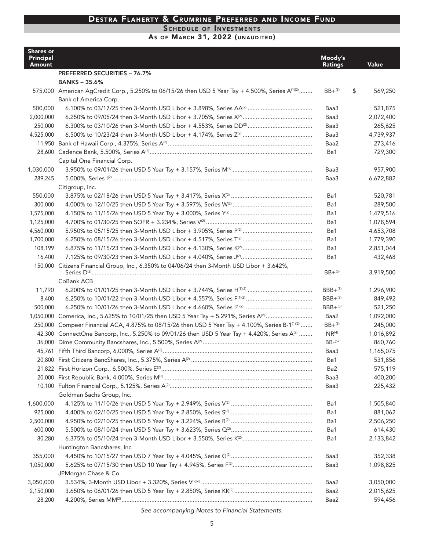SCHEDULE OF INVESTMENTS

# AS OF MARCH 31, 2022 (UNAUDITED)

| <b>Shares or</b><br><b>Principal</b> |                                                                                                              | Moody's           |                      |
|--------------------------------------|--------------------------------------------------------------------------------------------------------------|-------------------|----------------------|
| Amount                               |                                                                                                              | <b>Ratings</b>    | Value                |
|                                      | <b>PREFERRED SECURITIES - 76.7%</b>                                                                          |                   |                      |
|                                      | <b>BANKS - 35.6%</b>                                                                                         |                   |                      |
|                                      | 575,000 American AgCredit Corp., 5.250% to 06/15/26 then USD 5 Year Tsy + 4.500%, Series A <sup>(1)(2)</sup> | $BB+(3)$          | \$<br>569,250        |
|                                      | Bank of America Corp.                                                                                        |                   |                      |
| 500,000                              |                                                                                                              | Baa3              | 521,875              |
| 2,000,000                            |                                                                                                              | Baa3              | 2,072,400            |
| 250,000<br>4,525,000                 |                                                                                                              | Baa3<br>Baa3      | 265,625<br>4,739,937 |
|                                      |                                                                                                              | Baa2              | 273,416              |
|                                      |                                                                                                              | Ba1               | 729,300              |
|                                      | Capital One Financial Corp.                                                                                  |                   |                      |
| 1,030,000                            |                                                                                                              | Baa3              | 957,900              |
| 289,245                              |                                                                                                              | Baa3              | 6,672,882            |
|                                      | Citigroup, Inc.                                                                                              |                   |                      |
| 550,000                              |                                                                                                              | Ba1               | 520,781              |
| 300,000                              |                                                                                                              | Ba1               | 289,500              |
| 1,575,000                            |                                                                                                              | Ba1               | 1,479,516            |
| 1,125,000                            |                                                                                                              | Ba1               | 1,078,594            |
| 4,560,000                            |                                                                                                              | Ba1               | 4,653,708            |
| 1,700,000                            |                                                                                                              | Ba1               | 1,779,390            |
| 108,199                              |                                                                                                              | Ba1               | 2,851,044            |
| 16,400                               |                                                                                                              | Ba1               | 432,468              |
|                                      | 150,000 Citizens Financial Group, Inc., 6.350% to 04/06/24 then 3-Month USD Libor + 3.642%,                  |                   |                      |
|                                      |                                                                                                              | $BB + (3)$        | 3,919,500            |
|                                      | CoBank ACB                                                                                                   |                   |                      |
| 11,790                               |                                                                                                              | $BBB+^{(3)}$      | 1,296,900            |
| 8,400                                |                                                                                                              | $BBB+^{(3)}$      | 849,492              |
| 500,000                              |                                                                                                              | $BBB+^{(3)}$      | 521,250              |
|                                      |                                                                                                              | Baa2              | 1,092,000            |
|                                      | 250,000 Compeer Financial ACA, 4.875% to 08/15/26 then USD 5 Year Tsy + 4.100%, Series B-1 <sup>(1)(2)</sup> | $BB+(3)$          | 245,000              |
|                                      | 42,300 ConnectOne Bancorp, Inc., 5.250% to 09/01/26 then USD 5 Year Tsy + 4.420%, Series A <sup>(2)</sup>    | NR <sup>(4)</sup> | 1,016,892            |
| 36,000                               |                                                                                                              | $BB-(5)$          | 860,760              |
| 45,761                               |                                                                                                              | Baa3              | 1,165,075            |
|                                      |                                                                                                              | Ba1               | 531,856              |
|                                      |                                                                                                              | Ba2               | 575,119              |
|                                      |                                                                                                              | Baa3              | 400,200              |
|                                      |                                                                                                              | Baa3              | 225,432              |
|                                      | Goldman Sachs Group, Inc.                                                                                    |                   |                      |
| 1,600,000                            |                                                                                                              | Ba1               | 1,505,840            |
| 925,000                              |                                                                                                              | Ba1               | 881,062              |
| 2,500,000                            |                                                                                                              | Ba1               | 2,506,250            |
| 600,000                              |                                                                                                              | Ba1               | 614,430              |
| 80,280                               |                                                                                                              | Ba1               | 2,133,842            |
|                                      | Huntington Bancshares, Inc.                                                                                  |                   |                      |
| 355,000                              |                                                                                                              | Baa3              | 352,338              |
| 1,050,000                            |                                                                                                              | Baa3              | 1,098,825            |
|                                      | JPMorgan Chase & Co.                                                                                         |                   |                      |
| 3,050,000                            |                                                                                                              | Baa2              | 3,050,000            |
| 2,150,000                            |                                                                                                              | Baa2              | 2,015,625            |
| 28,200                               |                                                                                                              | Baa2              | 594,456              |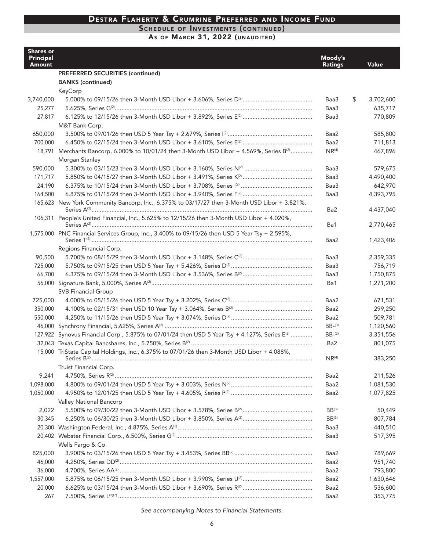### SCHEDULE OF INVESTMENTS (CONTINUED)

AS OF MARCH 31, 2022 (UNAUDITED)

| <b>Shares or</b><br><b>Principal</b><br><b>Amount</b> |                                                                                                           | Moody's<br><b>Ratings</b> | Value           |
|-------------------------------------------------------|-----------------------------------------------------------------------------------------------------------|---------------------------|-----------------|
|                                                       | <b>PREFERRED SECURITIES (continued)</b>                                                                   |                           |                 |
|                                                       | <b>BANKS</b> (continued)                                                                                  |                           |                 |
|                                                       | KeyCorp                                                                                                   |                           |                 |
| 3,740,000                                             |                                                                                                           | Baa3                      | \$<br>3,702,600 |
| 25,277                                                |                                                                                                           | Baa3                      | 635,717         |
| 27,817                                                |                                                                                                           | Baa3                      | 770,809         |
|                                                       | M&T Bank Corp.                                                                                            |                           |                 |
| 650,000                                               |                                                                                                           | Baa2                      | 585,800         |
| 700,000                                               |                                                                                                           | Baa2                      | 711,813         |
|                                                       | 18,791 Merchants Bancorp, 6.000% to 10/01/24 then 3-Month USD Libor + 4.569%, Series B <sup>(2)</sup>     | $NR^{(4)}$                | 467,896         |
|                                                       | Morgan Stanley                                                                                            |                           |                 |
| 590,000                                               |                                                                                                           | Baa3                      | 579,675         |
| 171,717                                               |                                                                                                           | Baa3                      | 4,490,400       |
| 24,190                                                |                                                                                                           | Baa3                      | 642,970         |
| 164,500                                               |                                                                                                           | Baa3                      | 4,393,795       |
|                                                       | 165,623 New York Community Bancorp, Inc., 6.375% to 03/17/27 then 3-Month USD Libor + 3.821%,             |                           |                 |
|                                                       |                                                                                                           | Ba2                       | 4,437,040       |
|                                                       | 106,311 People's United Financial, Inc., 5.625% to 12/15/26 then 3-Month USD Libor + 4.020%,              |                           |                 |
|                                                       |                                                                                                           | Ba1                       | 2,770,465       |
|                                                       | 1,575,000 PNC Financial Services Group, Inc., 3.400% to 09/15/26 then USD 5 Year Tsy + 2.595%,            |                           |                 |
|                                                       |                                                                                                           | Baa2                      | 1,423,406       |
|                                                       | Regions Financial Corp.                                                                                   |                           |                 |
| 90,500                                                |                                                                                                           | Baa3                      | 2,359,335       |
| 725,000                                               |                                                                                                           | Baa3                      | 756,719         |
| 66,700                                                |                                                                                                           | Baa3                      | 1,750,875       |
|                                                       |                                                                                                           | Ba1                       | 1,271,200       |
|                                                       | <b>SVB Financial Group</b>                                                                                |                           |                 |
| 725,000                                               |                                                                                                           | Baa2                      | 671,531         |
| 350,000                                               |                                                                                                           | Baa2                      | 299,250         |
| 550,000                                               |                                                                                                           | Baa2                      | 509,781         |
|                                                       |                                                                                                           | $BB-(3)$                  | 1,120,560       |
|                                                       | 127,922 Synovus Financial Corp., 5.875% to 07/01/24 then USD 5 Year Tsy + 4.127%, Series E <sup>(2)</sup> | $BB-(3)$                  | 3,351,556       |
|                                                       |                                                                                                           | Ba2                       | 801,075         |
|                                                       | 15,000 TriState Capital Holdings, Inc., 6.375% to 07/01/26 then 3-Month USD Libor + 4.088%,               | $NR^{(4)}$                | 383,250         |
|                                                       | Truist Financial Corp.                                                                                    |                           |                 |
| 9,241                                                 |                                                                                                           | Baa2                      |                 |
|                                                       |                                                                                                           | Baa2                      | 211,526         |
| 1,098,000<br>1,050,000                                |                                                                                                           | Baa2                      | 1,081,530       |
|                                                       |                                                                                                           |                           | 1,077,825       |
|                                                       | Valley National Bancorp                                                                                   |                           |                 |
| 2,022                                                 |                                                                                                           | $BB^{(3)}$                | 50,449          |
| 30,345                                                |                                                                                                           | $BB^{(3)}$                | 807,784         |
|                                                       |                                                                                                           | Baa3                      | 440,510         |
|                                                       |                                                                                                           | Baa3                      | 517,395         |
|                                                       | Wells Fargo & Co.                                                                                         |                           |                 |
| 825,000                                               |                                                                                                           | Baa2                      | 789,669         |
| 46,000                                                |                                                                                                           | Baa2                      | 951,740         |
| 36,000                                                |                                                                                                           | Baa2                      | 793,800         |
| 1,557,000                                             |                                                                                                           | Baa2                      | 1,630,646       |
| 20,000                                                |                                                                                                           | Baa2                      | 536,600         |
| 267                                                   |                                                                                                           | Baa2                      | 353,775         |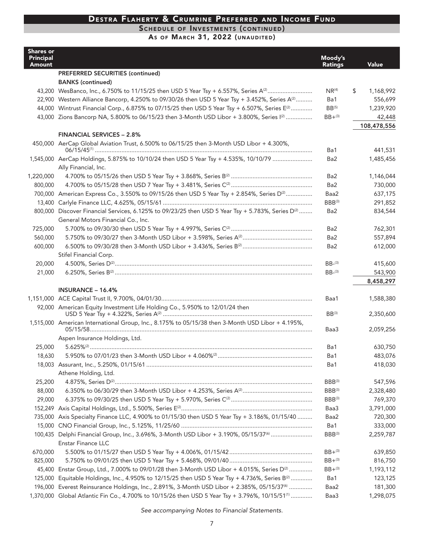#### SCHEDULE OF INVESTMENTS (CONTINUED)

AS OF MARCH 31, 2022 (UNAUDITED)

| <b>Shares or</b><br><b>Principal</b><br>Amount |                                                                                                                    | Moody's<br><b>Ratings</b> | <b>Value</b>    |
|------------------------------------------------|--------------------------------------------------------------------------------------------------------------------|---------------------------|-----------------|
|                                                | PREFERRED SECURITIES (continued)                                                                                   |                           |                 |
|                                                | <b>BANKS</b> (continued)                                                                                           |                           |                 |
|                                                |                                                                                                                    | NR <sup>(4)</sup>         | \$<br>1,168,992 |
|                                                | 22,900 Western Alliance Bancorp, 4.250% to 09/30/26 then USD 5 Year Tsy + 3.452%, Series A <sup>(2)</sup>          | Ba1                       | 556,699         |
|                                                | 44,000 Wintrust Financial Corp., 6.875% to 07/15/25 then USD 5 Year Tsy + 6.507%, Series E <sup>(2)</sup>          | $BB^{(5)}$                | 1,239,920       |
|                                                | 43,000 Zions Bancorp NA, 5.800% to 06/15/23 then 3-Month USD Libor + 3.800%, Series [(2)                           | $BB + ^{(3)}$             | 42,448          |
|                                                |                                                                                                                    |                           | 108,478,556     |
|                                                | <b>FINANCIAL SERVICES - 2.8%</b>                                                                                   |                           |                 |
|                                                | 450,000 AerCap Global Aviation Trust, 6.500% to 06/15/25 then 3-Month USD Libor + 4.300%,                          |                           |                 |
|                                                |                                                                                                                    | Ba1                       | 441,531         |
|                                                | 1,545,000 AerCap Holdings, 5.875% to 10/10/24 then USD 5 Year Tsy + 4.535%, 10/10/79                               | Ba <sub>2</sub>           | 1,485,456       |
|                                                | Ally Financial, Inc.                                                                                               |                           |                 |
| 1,220,000                                      |                                                                                                                    | Ba <sub>2</sub>           | 1,146,044       |
| 800,000                                        |                                                                                                                    | Ba2                       | 730,000         |
|                                                | 700,000 American Express Co., 3.550% to 09/15/26 then USD 5 Year Tsy + 2.854%, Series D <sup>(2)</sup>             | Baa2<br>$BBB^{(3)}$       | 637,175         |
|                                                |                                                                                                                    |                           | 291,852         |
|                                                | 800,000 Discover Financial Services, 6.125% to 09/23/25 then USD 5 Year Tsy + 5.783%, Series D <sup>(2)</sup>      | Ba <sub>2</sub>           | 834,544         |
| 725,000                                        | General Motors Financial Co., Inc.                                                                                 | Ba <sub>2</sub>           | 762,301         |
| 560,000                                        |                                                                                                                    | Ba <sub>2</sub>           | 557,894         |
| 600,000                                        |                                                                                                                    | Ba <sub>2</sub>           | 612,000         |
|                                                | Stifel Financial Corp.                                                                                             |                           |                 |
| 20,000                                         |                                                                                                                    | $BB-(3)$                  | 415,600         |
| 21,000                                         |                                                                                                                    | $BB-(3)$                  | 543,900         |
|                                                |                                                                                                                    |                           | 8,458,297       |
|                                                | <b>INSURANCE - 16.4%</b>                                                                                           |                           |                 |
|                                                |                                                                                                                    | Baa1                      | 1,588,380       |
|                                                | 92,000 American Equity Investment Life Holding Co., 5.950% to 12/01/24 then                                        |                           |                 |
|                                                |                                                                                                                    | $BB^{(3)}$                | 2,350,600       |
|                                                | 1,515,000 American International Group, Inc., 8.175% to 05/15/38 then 3-Month USD Libor + 4.195%,                  | Baa3                      | 2,059,256       |
|                                                | Aspen Insurance Holdings, Ltd.                                                                                     |                           |                 |
| 25,000                                         |                                                                                                                    | Ba1                       | 630,750         |
| 18,630                                         |                                                                                                                    | Ba1                       | 483,076         |
|                                                |                                                                                                                    | Ba1                       | 418,030         |
|                                                | Athene Holding, Ltd.                                                                                               |                           |                 |
| 25,200                                         |                                                                                                                    | $BBB^{(3)}$               | 547,596         |
| 88,000                                         |                                                                                                                    | $BBB^{(3)}$               | 2,328,480       |
| 29,000                                         |                                                                                                                    | $BBB^{(3)}$               | 769,370         |
|                                                |                                                                                                                    | Baa3                      | 3,791,000       |
| 735,000                                        | Axis Specialty Finance LLC, 4.900% to 01/15/30 then USD 5 Year Tsy + 3.186%, 01/15/40                              | Baa2                      | 720,300         |
|                                                |                                                                                                                    | Ba1                       | 333,000         |
|                                                | 100,435 Delphi Financial Group, Inc., 3.696%, 3-Month USD Libor + 3.190%, 05/15/37(6)<br><b>Enstar Finance LLC</b> | BBB(3)                    | 2,259,787       |
| 670,000                                        |                                                                                                                    | $BB + ^{(3)}$             | 639,850         |
| 825,000                                        |                                                                                                                    | $BB + ^{(3)}$             | 816,750         |
|                                                | 45,400 Enstar Group, Ltd., 7.000% to 09/01/28 then 3-Month USD Libor + 4.015%, Series D <sup>(2)</sup>             | $BB + {}^{(3)}$           | 1,193,112       |
|                                                | 125,000 Equitable Holdings, Inc., 4.950% to 12/15/25 then USD 5 Year Tsy + 4.736%, Series B <sup>(2)</sup>         | Ba1                       | 123,125         |
|                                                | 196,000 Everest Reinsurance Holdings, Inc., 2.891%, 3-Month USD Libor + 2.385%, 05/15/37 <sup>(6)</sup>            | Baa2                      | 181,300         |
|                                                | 1,370,000 Global Atlantic Fin Co., 4.700% to 10/15/26 then USD 5 Year Tsy + 3.796%, 10/15/51 <sup>(1)</sup>        | Baa3                      | 1,298,075       |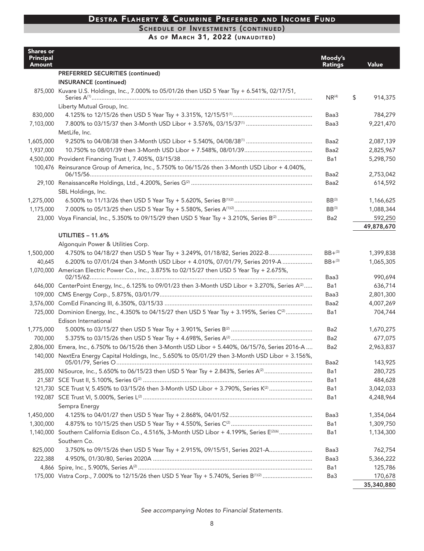#### SCHEDULE OF INVESTMENTS (CONTINUED)

AS OF MARCH 31, 2022 (UNAUDITED)

| <b>Shares or</b><br><b>Principal</b><br>Amount |                                                                                                                                 | Moody's<br><b>Ratings</b> | Value         |
|------------------------------------------------|---------------------------------------------------------------------------------------------------------------------------------|---------------------------|---------------|
|                                                | PREFERRED SECURITIES (continued)                                                                                                |                           |               |
|                                                | <b>INSURANCE (continued)</b>                                                                                                    |                           |               |
|                                                | 875,000 Kuvare U.S. Holdings, Inc., 7.000% to 05/01/26 then USD 5 Year Tsy + 6.541%, 02/17/51,                                  | NR <sup>(4)</sup>         | \$<br>914,375 |
|                                                | Liberty Mutual Group, Inc.                                                                                                      |                           |               |
| 830,000                                        |                                                                                                                                 | Baa3                      | 784,279       |
| 7,103,000                                      |                                                                                                                                 | Baa3                      | 9,221,470     |
|                                                | MetLife, Inc.                                                                                                                   |                           |               |
| 1,605,000                                      |                                                                                                                                 | Baa2                      | 2,087,139     |
| 1,937,000                                      |                                                                                                                                 | Baa2                      | 2,825,967     |
|                                                |                                                                                                                                 | Ba1                       | 5,298,750     |
|                                                | 100,476 Reinsurance Group of America, Inc., 5.750% to 06/15/26 then 3-Month USD Libor + 4.040%,                                 | Baa2                      | 2,753,042     |
|                                                |                                                                                                                                 | Baa2                      | 614,592       |
|                                                | SBL Holdings, Inc.                                                                                                              |                           |               |
| 1,275,000                                      |                                                                                                                                 | $BB^{(3)}$                | 1,166,625     |
| 1,175,000                                      |                                                                                                                                 | $BB^{(3)}$                | 1,088,344     |
|                                                | 23,000 Voya Financial, Inc., 5.350% to 09/15/29 then USD 5 Year Tsy + 3.210%, Series B <sup>(2)</sup>                           | Ba2                       | 592,250       |
|                                                |                                                                                                                                 |                           | 49,878,670    |
|                                                | UTILITIES - 11.6%                                                                                                               |                           |               |
|                                                | Algonquin Power & Utilities Corp.                                                                                               |                           |               |
| 1,500,000                                      | 4.750% to 04/18/27 then USD 5 Year Tsy + 3.249%, 01/18/82, Series 2022-B                                                        | $BB + ^{(3)}$             | 1,399,838     |
| 40,645                                         | 6.200% to 07/01/24 then 3-Month USD Libor + 4.010%, 07/01/79, Series 2019-A                                                     | $BB + ^{(3)}$             | 1,065,305     |
|                                                | 1,070,000 American Electric Power Co., Inc., 3.875% to 02/15/27 then USD 5 Year Tsy + 2.675%,                                   |                           |               |
|                                                |                                                                                                                                 | Baa3                      | 990,694       |
|                                                | 646,000 CenterPoint Energy, Inc., 6.125% to 09/01/23 then 3-Month USD Libor + 3.270%, Series A(2)                               | Ba1                       | 636,714       |
|                                                |                                                                                                                                 | Baa3                      | 2,801,300     |
|                                                |                                                                                                                                 | Baa2                      | 4,007,269     |
|                                                | 725,000 Dominion Energy, Inc., 4.350% to 04/15/27 then USD 5 Year Tsy + 3.195%, Series C <sup>(2)</sup><br>Edison International | Ba1                       | 704,744       |
| 1,775,000                                      |                                                                                                                                 | Ba2                       | 1,670,275     |
| 700,000                                        |                                                                                                                                 | Ba2                       | 677,075       |
|                                                | 2,806,000 Emera, Inc., 6.750% to 06/15/26 then 3-Month USD Libor + 5.440%, 06/15/76, Series 2016-A                              | Ba2                       | 2,963,837     |
|                                                | 140,000 NextEra Energy Capital Holdings, Inc., 5.650% to 05/01/29 then 3-Month USD Libor + 3.156%,                              |                           | 143,925       |
|                                                |                                                                                                                                 | Baa2<br>Ba1               | 280,725       |
|                                                |                                                                                                                                 | Ba1                       | 484,628       |
|                                                | 121,730 SCE Trust V, 5.450% to 03/15/26 then 3-Month USD Libor + 3.790%, Series K <sup>(2)</sup>                                | Ba1                       | 3,042,033     |
|                                                |                                                                                                                                 | Ba1                       | 4,248,964     |
|                                                | Sempra Energy                                                                                                                   |                           |               |
| 1,450,000                                      |                                                                                                                                 | Baa3                      | 1,354,064     |
| 1,300,000                                      |                                                                                                                                 | Ba1                       | 1,309,750     |
|                                                | 1,140,000 Southern California Edison Co., 4.516%, 3-Month USD Libor + 4.199%, Series E(2)(6)                                    | Ba1                       | 1,134,300     |
|                                                | Southern Co.                                                                                                                    |                           |               |
| 825,000                                        | 3.750% to 09/15/26 then USD 5 Year Tsy + 2.915%, 09/15/51, Series 2021-A                                                        | Baa3                      | 762,754       |
| 222,388                                        |                                                                                                                                 | Baa3                      | 5,366,222     |
|                                                |                                                                                                                                 | Ba1                       | 125,786       |
|                                                |                                                                                                                                 | Ba3                       | 170,678       |
|                                                |                                                                                                                                 |                           | 35,340,880    |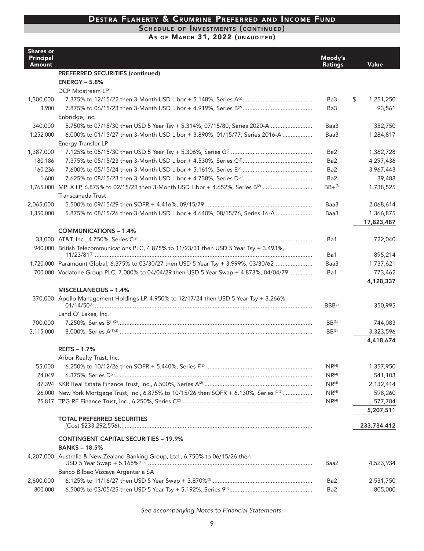#### SCHEDULE OF INVESTMENTS (CONTINUED)

AS OF MARCH 31, 2022 (UNAUDITED)

| <b>PREFERRED SECURITIES (continued)</b><br><b>ENERGY - 5.8%</b><br>DCP Midstream LP<br>1,300,000<br>\$<br>1,251,250<br>Ba3<br>Ba3<br>93,561<br>3,900<br>Enbridge, Inc.<br>340,000<br>5.750% to 07/15/30 then USD 5 Year Tsy + 5.314%, 07/15/80, Series 2020-A<br>Baa3<br>352,750<br>6.000% to 01/15/27 then 3-Month USD Libor + 3.890%, 01/15/77, Series 2016-A<br>1,252,000<br>Baa3<br>1,284,817<br>Energy Transfer LP<br>1,362,728<br>1,387,000<br>Ba2<br>180,186<br>Ba <sub>2</sub><br>4,297,436<br>160,236<br>Ba <sub>2</sub><br>3,967,443<br>Ba <sub>2</sub><br>39,488<br>1,600<br>1,765,000 MPLX LP, 6.875% to 02/15/23 then 3-Month USD Libor + 4.652%, Series B <sup>(2)</sup><br>$BB + ^{(3)}$<br>1,738,525<br>Transcanada Trust<br>2,068,614<br>2,065,000<br>Baa3<br>1,350,000<br>5.875% to 08/15/26 then 3-Month USD Libor + 4.640%, 08/15/76, Series 16-A<br>Baa3<br>1,366,875<br>17,823,487<br><b>COMMUNICATIONS - 1.4%</b><br>Ba1<br>722,040<br>940,000 British Telecommunications PLC, 4.875% to 11/23/31 then USD 5 Year Tsy + 3.493%,<br>895,214<br>Ba1<br>1,720,000 Paramount Global, 6.375% to 03/30/27 then USD 5 Year Tsy + 3.999%, 03/30/62<br>1,737,621<br>Baa3<br>700,000 Vodafone Group PLC, 7.000% to 04/04/29 then USD 5 Year Swap + 4.873%, 04/04/79<br>Ba1<br>773,462<br>4,128,337<br>MISCELLANEOUS - 1.4%<br>370,000 Apollo Management Holdings LP, 4.950% to 12/17/24 then USD 5 Year Tsy + 3.266%,<br>350,995<br>$BBB^{(3)}$<br>Land O' Lakes, Inc.<br>700,000<br>$BB^{(3)}$<br>744,083<br>3,115,000<br>$BB^{(3)}$<br>3,323,596<br>4,418,674<br><b>REITS - 1.7%</b><br>Arbor Realty Trust, Inc.<br>55,000<br>NR <sup>(4)</sup><br>1,357,950<br>24,049<br>NR <sup>(4)</sup><br>541,103<br>NR <sup>(4)</sup><br>2,132,414<br>26,000 New York Mortgage Trust, Inc., 6.875% to 10/15/26 then SOFR + 6.130%, Series F <sup>(2)</sup><br>$NR^{(4)}$<br>598,260<br>NR <sup>(4)</sup><br>577,784<br>5,207,511<br><b>TOTAL PREFERRED SECURITIES</b><br>233,734,412<br><b>CONTINGENT CAPITAL SECURITIES - 19.9%</b><br><b>BANKS-18.5%</b><br>4,207,000 Australia & New Zealand Banking Group, Ltd., 6.750% to 06/15/26 then<br>4,523,934<br>Baa2<br>Banco Bilbao Vizcaya Argentaria SA<br>2,600,000<br>Ba2<br>2,531,750<br>800,000<br>Ba2 | <b>Shares or</b><br><b>Principal</b><br><b>Amount</b> | Moody's<br><b>Ratings</b> | <b>Value</b> |
|-----------------------------------------------------------------------------------------------------------------------------------------------------------------------------------------------------------------------------------------------------------------------------------------------------------------------------------------------------------------------------------------------------------------------------------------------------------------------------------------------------------------------------------------------------------------------------------------------------------------------------------------------------------------------------------------------------------------------------------------------------------------------------------------------------------------------------------------------------------------------------------------------------------------------------------------------------------------------------------------------------------------------------------------------------------------------------------------------------------------------------------------------------------------------------------------------------------------------------------------------------------------------------------------------------------------------------------------------------------------------------------------------------------------------------------------------------------------------------------------------------------------------------------------------------------------------------------------------------------------------------------------------------------------------------------------------------------------------------------------------------------------------------------------------------------------------------------------------------------------------------------------------------------------------------------------------------------------------------------------------------------------------------------------------------------------------------------------------------------------------------------------------------------------------------------------------------------------------------------------------------------------|-------------------------------------------------------|---------------------------|--------------|
|                                                                                                                                                                                                                                                                                                                                                                                                                                                                                                                                                                                                                                                                                                                                                                                                                                                                                                                                                                                                                                                                                                                                                                                                                                                                                                                                                                                                                                                                                                                                                                                                                                                                                                                                                                                                                                                                                                                                                                                                                                                                                                                                                                                                                                                                 |                                                       |                           |              |
|                                                                                                                                                                                                                                                                                                                                                                                                                                                                                                                                                                                                                                                                                                                                                                                                                                                                                                                                                                                                                                                                                                                                                                                                                                                                                                                                                                                                                                                                                                                                                                                                                                                                                                                                                                                                                                                                                                                                                                                                                                                                                                                                                                                                                                                                 |                                                       |                           |              |
|                                                                                                                                                                                                                                                                                                                                                                                                                                                                                                                                                                                                                                                                                                                                                                                                                                                                                                                                                                                                                                                                                                                                                                                                                                                                                                                                                                                                                                                                                                                                                                                                                                                                                                                                                                                                                                                                                                                                                                                                                                                                                                                                                                                                                                                                 |                                                       |                           |              |
|                                                                                                                                                                                                                                                                                                                                                                                                                                                                                                                                                                                                                                                                                                                                                                                                                                                                                                                                                                                                                                                                                                                                                                                                                                                                                                                                                                                                                                                                                                                                                                                                                                                                                                                                                                                                                                                                                                                                                                                                                                                                                                                                                                                                                                                                 |                                                       |                           |              |
|                                                                                                                                                                                                                                                                                                                                                                                                                                                                                                                                                                                                                                                                                                                                                                                                                                                                                                                                                                                                                                                                                                                                                                                                                                                                                                                                                                                                                                                                                                                                                                                                                                                                                                                                                                                                                                                                                                                                                                                                                                                                                                                                                                                                                                                                 |                                                       |                           |              |
|                                                                                                                                                                                                                                                                                                                                                                                                                                                                                                                                                                                                                                                                                                                                                                                                                                                                                                                                                                                                                                                                                                                                                                                                                                                                                                                                                                                                                                                                                                                                                                                                                                                                                                                                                                                                                                                                                                                                                                                                                                                                                                                                                                                                                                                                 |                                                       |                           |              |
|                                                                                                                                                                                                                                                                                                                                                                                                                                                                                                                                                                                                                                                                                                                                                                                                                                                                                                                                                                                                                                                                                                                                                                                                                                                                                                                                                                                                                                                                                                                                                                                                                                                                                                                                                                                                                                                                                                                                                                                                                                                                                                                                                                                                                                                                 |                                                       |                           |              |
|                                                                                                                                                                                                                                                                                                                                                                                                                                                                                                                                                                                                                                                                                                                                                                                                                                                                                                                                                                                                                                                                                                                                                                                                                                                                                                                                                                                                                                                                                                                                                                                                                                                                                                                                                                                                                                                                                                                                                                                                                                                                                                                                                                                                                                                                 |                                                       |                           |              |
|                                                                                                                                                                                                                                                                                                                                                                                                                                                                                                                                                                                                                                                                                                                                                                                                                                                                                                                                                                                                                                                                                                                                                                                                                                                                                                                                                                                                                                                                                                                                                                                                                                                                                                                                                                                                                                                                                                                                                                                                                                                                                                                                                                                                                                                                 |                                                       |                           |              |
|                                                                                                                                                                                                                                                                                                                                                                                                                                                                                                                                                                                                                                                                                                                                                                                                                                                                                                                                                                                                                                                                                                                                                                                                                                                                                                                                                                                                                                                                                                                                                                                                                                                                                                                                                                                                                                                                                                                                                                                                                                                                                                                                                                                                                                                                 |                                                       |                           |              |
|                                                                                                                                                                                                                                                                                                                                                                                                                                                                                                                                                                                                                                                                                                                                                                                                                                                                                                                                                                                                                                                                                                                                                                                                                                                                                                                                                                                                                                                                                                                                                                                                                                                                                                                                                                                                                                                                                                                                                                                                                                                                                                                                                                                                                                                                 |                                                       |                           |              |
|                                                                                                                                                                                                                                                                                                                                                                                                                                                                                                                                                                                                                                                                                                                                                                                                                                                                                                                                                                                                                                                                                                                                                                                                                                                                                                                                                                                                                                                                                                                                                                                                                                                                                                                                                                                                                                                                                                                                                                                                                                                                                                                                                                                                                                                                 |                                                       |                           |              |
|                                                                                                                                                                                                                                                                                                                                                                                                                                                                                                                                                                                                                                                                                                                                                                                                                                                                                                                                                                                                                                                                                                                                                                                                                                                                                                                                                                                                                                                                                                                                                                                                                                                                                                                                                                                                                                                                                                                                                                                                                                                                                                                                                                                                                                                                 |                                                       |                           |              |
|                                                                                                                                                                                                                                                                                                                                                                                                                                                                                                                                                                                                                                                                                                                                                                                                                                                                                                                                                                                                                                                                                                                                                                                                                                                                                                                                                                                                                                                                                                                                                                                                                                                                                                                                                                                                                                                                                                                                                                                                                                                                                                                                                                                                                                                                 |                                                       |                           |              |
|                                                                                                                                                                                                                                                                                                                                                                                                                                                                                                                                                                                                                                                                                                                                                                                                                                                                                                                                                                                                                                                                                                                                                                                                                                                                                                                                                                                                                                                                                                                                                                                                                                                                                                                                                                                                                                                                                                                                                                                                                                                                                                                                                                                                                                                                 |                                                       |                           |              |
|                                                                                                                                                                                                                                                                                                                                                                                                                                                                                                                                                                                                                                                                                                                                                                                                                                                                                                                                                                                                                                                                                                                                                                                                                                                                                                                                                                                                                                                                                                                                                                                                                                                                                                                                                                                                                                                                                                                                                                                                                                                                                                                                                                                                                                                                 |                                                       |                           |              |
|                                                                                                                                                                                                                                                                                                                                                                                                                                                                                                                                                                                                                                                                                                                                                                                                                                                                                                                                                                                                                                                                                                                                                                                                                                                                                                                                                                                                                                                                                                                                                                                                                                                                                                                                                                                                                                                                                                                                                                                                                                                                                                                                                                                                                                                                 |                                                       |                           |              |
|                                                                                                                                                                                                                                                                                                                                                                                                                                                                                                                                                                                                                                                                                                                                                                                                                                                                                                                                                                                                                                                                                                                                                                                                                                                                                                                                                                                                                                                                                                                                                                                                                                                                                                                                                                                                                                                                                                                                                                                                                                                                                                                                                                                                                                                                 |                                                       |                           |              |
|                                                                                                                                                                                                                                                                                                                                                                                                                                                                                                                                                                                                                                                                                                                                                                                                                                                                                                                                                                                                                                                                                                                                                                                                                                                                                                                                                                                                                                                                                                                                                                                                                                                                                                                                                                                                                                                                                                                                                                                                                                                                                                                                                                                                                                                                 |                                                       |                           |              |
|                                                                                                                                                                                                                                                                                                                                                                                                                                                                                                                                                                                                                                                                                                                                                                                                                                                                                                                                                                                                                                                                                                                                                                                                                                                                                                                                                                                                                                                                                                                                                                                                                                                                                                                                                                                                                                                                                                                                                                                                                                                                                                                                                                                                                                                                 |                                                       |                           |              |
|                                                                                                                                                                                                                                                                                                                                                                                                                                                                                                                                                                                                                                                                                                                                                                                                                                                                                                                                                                                                                                                                                                                                                                                                                                                                                                                                                                                                                                                                                                                                                                                                                                                                                                                                                                                                                                                                                                                                                                                                                                                                                                                                                                                                                                                                 |                                                       |                           |              |
|                                                                                                                                                                                                                                                                                                                                                                                                                                                                                                                                                                                                                                                                                                                                                                                                                                                                                                                                                                                                                                                                                                                                                                                                                                                                                                                                                                                                                                                                                                                                                                                                                                                                                                                                                                                                                                                                                                                                                                                                                                                                                                                                                                                                                                                                 |                                                       |                           |              |
|                                                                                                                                                                                                                                                                                                                                                                                                                                                                                                                                                                                                                                                                                                                                                                                                                                                                                                                                                                                                                                                                                                                                                                                                                                                                                                                                                                                                                                                                                                                                                                                                                                                                                                                                                                                                                                                                                                                                                                                                                                                                                                                                                                                                                                                                 |                                                       |                           |              |
|                                                                                                                                                                                                                                                                                                                                                                                                                                                                                                                                                                                                                                                                                                                                                                                                                                                                                                                                                                                                                                                                                                                                                                                                                                                                                                                                                                                                                                                                                                                                                                                                                                                                                                                                                                                                                                                                                                                                                                                                                                                                                                                                                                                                                                                                 |                                                       |                           |              |
|                                                                                                                                                                                                                                                                                                                                                                                                                                                                                                                                                                                                                                                                                                                                                                                                                                                                                                                                                                                                                                                                                                                                                                                                                                                                                                                                                                                                                                                                                                                                                                                                                                                                                                                                                                                                                                                                                                                                                                                                                                                                                                                                                                                                                                                                 |                                                       |                           |              |
|                                                                                                                                                                                                                                                                                                                                                                                                                                                                                                                                                                                                                                                                                                                                                                                                                                                                                                                                                                                                                                                                                                                                                                                                                                                                                                                                                                                                                                                                                                                                                                                                                                                                                                                                                                                                                                                                                                                                                                                                                                                                                                                                                                                                                                                                 |                                                       |                           |              |
|                                                                                                                                                                                                                                                                                                                                                                                                                                                                                                                                                                                                                                                                                                                                                                                                                                                                                                                                                                                                                                                                                                                                                                                                                                                                                                                                                                                                                                                                                                                                                                                                                                                                                                                                                                                                                                                                                                                                                                                                                                                                                                                                                                                                                                                                 |                                                       |                           |              |
|                                                                                                                                                                                                                                                                                                                                                                                                                                                                                                                                                                                                                                                                                                                                                                                                                                                                                                                                                                                                                                                                                                                                                                                                                                                                                                                                                                                                                                                                                                                                                                                                                                                                                                                                                                                                                                                                                                                                                                                                                                                                                                                                                                                                                                                                 |                                                       |                           |              |
|                                                                                                                                                                                                                                                                                                                                                                                                                                                                                                                                                                                                                                                                                                                                                                                                                                                                                                                                                                                                                                                                                                                                                                                                                                                                                                                                                                                                                                                                                                                                                                                                                                                                                                                                                                                                                                                                                                                                                                                                                                                                                                                                                                                                                                                                 |                                                       |                           |              |
|                                                                                                                                                                                                                                                                                                                                                                                                                                                                                                                                                                                                                                                                                                                                                                                                                                                                                                                                                                                                                                                                                                                                                                                                                                                                                                                                                                                                                                                                                                                                                                                                                                                                                                                                                                                                                                                                                                                                                                                                                                                                                                                                                                                                                                                                 |                                                       |                           |              |
|                                                                                                                                                                                                                                                                                                                                                                                                                                                                                                                                                                                                                                                                                                                                                                                                                                                                                                                                                                                                                                                                                                                                                                                                                                                                                                                                                                                                                                                                                                                                                                                                                                                                                                                                                                                                                                                                                                                                                                                                                                                                                                                                                                                                                                                                 |                                                       |                           |              |
|                                                                                                                                                                                                                                                                                                                                                                                                                                                                                                                                                                                                                                                                                                                                                                                                                                                                                                                                                                                                                                                                                                                                                                                                                                                                                                                                                                                                                                                                                                                                                                                                                                                                                                                                                                                                                                                                                                                                                                                                                                                                                                                                                                                                                                                                 |                                                       |                           |              |
|                                                                                                                                                                                                                                                                                                                                                                                                                                                                                                                                                                                                                                                                                                                                                                                                                                                                                                                                                                                                                                                                                                                                                                                                                                                                                                                                                                                                                                                                                                                                                                                                                                                                                                                                                                                                                                                                                                                                                                                                                                                                                                                                                                                                                                                                 |                                                       |                           |              |
|                                                                                                                                                                                                                                                                                                                                                                                                                                                                                                                                                                                                                                                                                                                                                                                                                                                                                                                                                                                                                                                                                                                                                                                                                                                                                                                                                                                                                                                                                                                                                                                                                                                                                                                                                                                                                                                                                                                                                                                                                                                                                                                                                                                                                                                                 |                                                       |                           |              |
|                                                                                                                                                                                                                                                                                                                                                                                                                                                                                                                                                                                                                                                                                                                                                                                                                                                                                                                                                                                                                                                                                                                                                                                                                                                                                                                                                                                                                                                                                                                                                                                                                                                                                                                                                                                                                                                                                                                                                                                                                                                                                                                                                                                                                                                                 |                                                       |                           |              |
|                                                                                                                                                                                                                                                                                                                                                                                                                                                                                                                                                                                                                                                                                                                                                                                                                                                                                                                                                                                                                                                                                                                                                                                                                                                                                                                                                                                                                                                                                                                                                                                                                                                                                                                                                                                                                                                                                                                                                                                                                                                                                                                                                                                                                                                                 |                                                       |                           |              |
|                                                                                                                                                                                                                                                                                                                                                                                                                                                                                                                                                                                                                                                                                                                                                                                                                                                                                                                                                                                                                                                                                                                                                                                                                                                                                                                                                                                                                                                                                                                                                                                                                                                                                                                                                                                                                                                                                                                                                                                                                                                                                                                                                                                                                                                                 |                                                       |                           |              |
|                                                                                                                                                                                                                                                                                                                                                                                                                                                                                                                                                                                                                                                                                                                                                                                                                                                                                                                                                                                                                                                                                                                                                                                                                                                                                                                                                                                                                                                                                                                                                                                                                                                                                                                                                                                                                                                                                                                                                                                                                                                                                                                                                                                                                                                                 |                                                       |                           |              |
|                                                                                                                                                                                                                                                                                                                                                                                                                                                                                                                                                                                                                                                                                                                                                                                                                                                                                                                                                                                                                                                                                                                                                                                                                                                                                                                                                                                                                                                                                                                                                                                                                                                                                                                                                                                                                                                                                                                                                                                                                                                                                                                                                                                                                                                                 |                                                       |                           |              |
|                                                                                                                                                                                                                                                                                                                                                                                                                                                                                                                                                                                                                                                                                                                                                                                                                                                                                                                                                                                                                                                                                                                                                                                                                                                                                                                                                                                                                                                                                                                                                                                                                                                                                                                                                                                                                                                                                                                                                                                                                                                                                                                                                                                                                                                                 |                                                       |                           |              |
|                                                                                                                                                                                                                                                                                                                                                                                                                                                                                                                                                                                                                                                                                                                                                                                                                                                                                                                                                                                                                                                                                                                                                                                                                                                                                                                                                                                                                                                                                                                                                                                                                                                                                                                                                                                                                                                                                                                                                                                                                                                                                                                                                                                                                                                                 |                                                       |                           |              |
|                                                                                                                                                                                                                                                                                                                                                                                                                                                                                                                                                                                                                                                                                                                                                                                                                                                                                                                                                                                                                                                                                                                                                                                                                                                                                                                                                                                                                                                                                                                                                                                                                                                                                                                                                                                                                                                                                                                                                                                                                                                                                                                                                                                                                                                                 |                                                       |                           |              |
|                                                                                                                                                                                                                                                                                                                                                                                                                                                                                                                                                                                                                                                                                                                                                                                                                                                                                                                                                                                                                                                                                                                                                                                                                                                                                                                                                                                                                                                                                                                                                                                                                                                                                                                                                                                                                                                                                                                                                                                                                                                                                                                                                                                                                                                                 |                                                       |                           |              |
|                                                                                                                                                                                                                                                                                                                                                                                                                                                                                                                                                                                                                                                                                                                                                                                                                                                                                                                                                                                                                                                                                                                                                                                                                                                                                                                                                                                                                                                                                                                                                                                                                                                                                                                                                                                                                                                                                                                                                                                                                                                                                                                                                                                                                                                                 |                                                       |                           |              |
|                                                                                                                                                                                                                                                                                                                                                                                                                                                                                                                                                                                                                                                                                                                                                                                                                                                                                                                                                                                                                                                                                                                                                                                                                                                                                                                                                                                                                                                                                                                                                                                                                                                                                                                                                                                                                                                                                                                                                                                                                                                                                                                                                                                                                                                                 |                                                       |                           |              |
|                                                                                                                                                                                                                                                                                                                                                                                                                                                                                                                                                                                                                                                                                                                                                                                                                                                                                                                                                                                                                                                                                                                                                                                                                                                                                                                                                                                                                                                                                                                                                                                                                                                                                                                                                                                                                                                                                                                                                                                                                                                                                                                                                                                                                                                                 |                                                       |                           |              |
|                                                                                                                                                                                                                                                                                                                                                                                                                                                                                                                                                                                                                                                                                                                                                                                                                                                                                                                                                                                                                                                                                                                                                                                                                                                                                                                                                                                                                                                                                                                                                                                                                                                                                                                                                                                                                                                                                                                                                                                                                                                                                                                                                                                                                                                                 |                                                       |                           | 805,000      |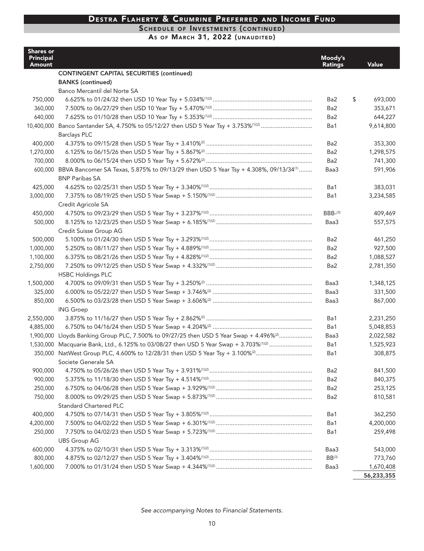#### SCHEDULE OF INVESTMENTS (CONTINUED)

AS OF MARCH 31, 2022 (UNAUDITED)

| <b>Shares or</b><br><b>Principal</b><br>Amount |                                                                                                          | Moody's<br><b>Ratings</b> | Value         |
|------------------------------------------------|----------------------------------------------------------------------------------------------------------|---------------------------|---------------|
|                                                | <b>CONTINGENT CAPITAL SECURITIES (continued)</b>                                                         |                           |               |
|                                                | <b>BANKS</b> (continued)                                                                                 |                           |               |
|                                                | Banco Mercantil del Norte SA                                                                             |                           |               |
| 750,000                                        |                                                                                                          | Ba2                       | \$<br>693,000 |
| 360,000                                        |                                                                                                          | Ba2                       | 353,671       |
| 640,000                                        |                                                                                                          | Ba2                       | 644,227       |
|                                                | 10,400,000 Banco Santander SA, 4.750% to 05/12/27 then USD 5 Year Tsy + 3.753% <sup>(1)(2)</sup>         | Ba1                       | 9,614,800     |
|                                                | <b>Barclays PLC</b>                                                                                      |                           |               |
| 400,000                                        |                                                                                                          | Ba2                       | 353,300       |
| 1,270,000                                      |                                                                                                          | Ba2                       | 1,298,575     |
| 700,000                                        |                                                                                                          | Ba <sub>2</sub>           | 741,300       |
|                                                | 600,000 BBVA Bancomer SA Texas, 5.875% to 09/13/29 then USD 5 Year Tsy + 4.308%, 09/13/34 <sup>(1)</sup> | Baa3                      | 591,906       |
|                                                | <b>BNP Paribas SA</b>                                                                                    |                           |               |
| 425,000                                        |                                                                                                          | Ba1                       | 383,031       |
| 3,000,000                                      |                                                                                                          | Ba1                       | 3,234,585     |
|                                                | Credit Agricole SA                                                                                       |                           |               |
| 450,000                                        |                                                                                                          | $BBB-(3)$                 | 409.469       |
| 500,000                                        |                                                                                                          | Baa3                      | 557,575       |
|                                                | Credit Suisse Group AG                                                                                   |                           |               |
| 500,000                                        |                                                                                                          | Ba2                       | 461,250       |
| 1,000,000                                      |                                                                                                          | Ba <sub>2</sub>           | 927,500       |
| 1,100,000                                      |                                                                                                          | Ba2                       | 1,088,527     |
| 2,750,000                                      |                                                                                                          | Ba2                       | 2,781,350     |
|                                                | <b>HSBC Holdings PLC</b>                                                                                 |                           |               |
| 1,500,000                                      |                                                                                                          | Baa3                      | 1,348,125     |
| 325,000                                        |                                                                                                          | Baa3                      | 331,500       |
| 850,000                                        |                                                                                                          | Baa3                      | 867,000       |
|                                                | <b>ING Groep</b>                                                                                         |                           |               |
| 2,550,000                                      |                                                                                                          | Ba1                       | 2,231,250     |
| 4,885,000                                      |                                                                                                          | Ba1                       | 5,048,853     |
| 1,900,000                                      | Lloyds Banking Group PLC, 7.500% to 09/27/25 then USD 5 Year Swap + 4.496% <sup>(2)</sup>                | Baa3                      | 2,022,582     |
| 1,530,000                                      | Macquarie Bank, Ltd., 6.125% to 03/08/27 then USD 5 Year Swap + 3.703% <sup>(1)(2)</sup>                 | Ba1                       | 1,525,923     |
|                                                | 350,000 NatWest Group PLC, 4.600% to 12/28/31 then USD 5 Year Tsy + 3.100% <sup>(2)</sup>                | Ba1                       | 308,875       |
|                                                | Societe Generale SA                                                                                      |                           |               |
| 900,000                                        |                                                                                                          | Ba2                       | 841,500       |
| 900,000                                        |                                                                                                          | Ba2                       | 840,375       |
| 250,000                                        |                                                                                                          | Ba2                       | 253,125       |
| 750,000                                        |                                                                                                          | Ba2                       | 810,581       |
|                                                | <b>Standard Chartered PLC</b>                                                                            |                           |               |
| 400,000                                        |                                                                                                          | Ba1                       | 362,250       |
| 4,200,000                                      |                                                                                                          | Ba1                       | 4,200,000     |
| 250,000                                        |                                                                                                          | Ba1                       | 259,498       |
|                                                | <b>UBS Group AG</b>                                                                                      |                           |               |
| 600,000                                        |                                                                                                          | Baa3                      | 543,000       |
| 800,000                                        |                                                                                                          | $BB^{(3)}$                | 773,760       |
| 1,600,000                                      |                                                                                                          | Baa3                      | 1,670,408     |
|                                                |                                                                                                          |                           | 56,233,355    |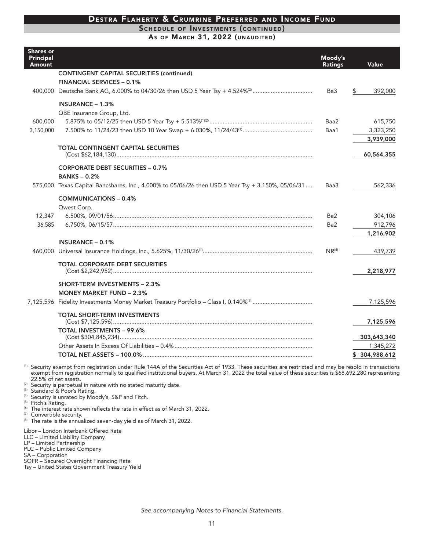#### SCHEDULE OF INVESTMENTS (CONTINUED)

As OF MARCH 31, 2022 (UNAUDITED)

| <b>Shares or</b><br><b>Principal</b><br><b>Amount</b> |                                                                                                   | Moody's<br><b>Ratings</b> | Value                |
|-------------------------------------------------------|---------------------------------------------------------------------------------------------------|---------------------------|----------------------|
|                                                       | <b>CONTINGENT CAPITAL SECURITIES (continued)</b>                                                  |                           |                      |
|                                                       | <b>FINANCIAL SERVICES - 0.1%</b>                                                                  | Ba3                       |                      |
|                                                       |                                                                                                   |                           | \$<br>392,000        |
|                                                       | INSURANCE $-1.3%$                                                                                 |                           |                      |
| 600,000                                               | QBE Insurance Group, Ltd.                                                                         | Baa2                      | 615,750              |
| 3,150,000                                             |                                                                                                   | Baa1                      | 3,323,250            |
|                                                       |                                                                                                   |                           | 3,939,000            |
|                                                       | <b>TOTAL CONTINGENT CAPITAL SECURITIES</b>                                                        |                           |                      |
|                                                       |                                                                                                   |                           | 60,564,355           |
|                                                       | <b>CORPORATE DEBT SECURITIES - 0.7%</b>                                                           |                           |                      |
|                                                       | <b>BANKS-0.2%</b>                                                                                 |                           |                      |
|                                                       | 575,000 Texas Capital Bancshares, Inc., 4.000% to 05/06/26 then USD 5 Year Tsy + 3.150%, 05/06/31 | Baa3                      | 562,336              |
|                                                       | <b>COMMUNICATIONS - 0.4%</b>                                                                      |                           |                      |
|                                                       | Qwest Corp.                                                                                       |                           |                      |
| 12,347                                                |                                                                                                   | Ba2                       | 304,106              |
| 36,585                                                |                                                                                                   | Ba2                       | 912,796<br>1,216,902 |
|                                                       | <b>INSURANCE - 0.1%</b>                                                                           |                           |                      |
|                                                       |                                                                                                   | NR <sup>(4)</sup>         | 439,739              |
|                                                       | <b>TOTAL CORPORATE DEBT SECURITIES</b>                                                            |                           |                      |
|                                                       |                                                                                                   |                           | 2,218,977            |
|                                                       | <b>SHORT-TERM INVESTMENTS - 2.3%</b>                                                              |                           |                      |
|                                                       | <b>MONEY MARKET FUND - 2.3%</b>                                                                   |                           |                      |
|                                                       |                                                                                                   |                           | 7,125,596            |
|                                                       | <b>TOTAL SHORT-TERM INVESTMENTS</b>                                                               |                           | 7,125,596            |
|                                                       | <b>TOTAL INVESTMENTS - 99.6%</b>                                                                  |                           | 303,643,340          |
|                                                       |                                                                                                   |                           | 1,345,272            |
|                                                       | TOTAL NET ASSETS – 100.0% ………………………………………………………………………………………                                       |                           | \$304,988,612        |

<sup>(1)</sup> Security exempt from registration under Rule 144A of the Securities Act of 1933. These securities are restricted and may be resold in transactions exempt from registration normally to qualified institutional buyers. At March 31, 2022 the total value of these securities is \$68,692,280 representing 22.5% of net assets.

- <sup>(2)</sup> Security is perpetual in nature with no stated maturity date.
- 
- <sup>(3)</sup> Standard & Poor's Rating.<br>
<sup>(4)</sup> Security is unrated by Moody's, S&P and Fitch.
- (5) Fitch's Rating.
- <sup>(6)</sup> The interest rate shown reflects the rate in effect as of March 31, 2022.
- (7) Convertible security.
- <sup>(8)</sup> The rate is the annualized seven-day yield as of March 31, 2022.

Libor - London Interbank Offered Rate

LLC - Limited Liability Company

LP - Limited Partnership

PLC - Public Limited Company

SA - Corporation

SOFR - Secured Overnight Financing Rate

Tsy - United States Government Treasury Yield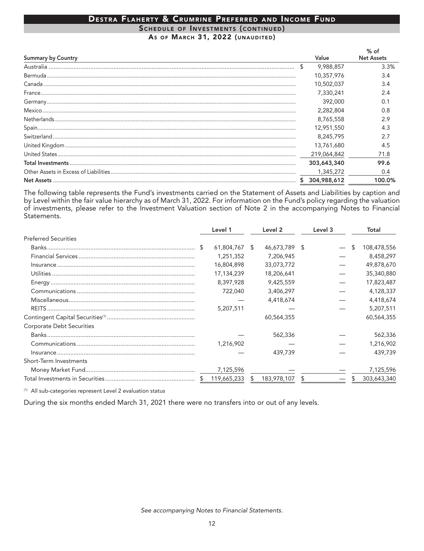#### DESTRA FLAHERTY & CRUMRINE PREFERRED AND INCOME FUND SCHEDULE OF INVESTMENTS (CONTINUED) AS OF MARCH 31, 2022 (UNAUDITED)

| <b>Summary by Country</b>                                                                                                                                                                                                                                                                                                                                                                                                                                                                                  |    | Value       | % of<br><b>Net Assets</b> |
|------------------------------------------------------------------------------------------------------------------------------------------------------------------------------------------------------------------------------------------------------------------------------------------------------------------------------------------------------------------------------------------------------------------------------------------------------------------------------------------------------------|----|-------------|---------------------------|
|                                                                                                                                                                                                                                                                                                                                                                                                                                                                                                            | \$ | 9,988,857   | 3.3%                      |
|                                                                                                                                                                                                                                                                                                                                                                                                                                                                                                            |    | 10,357,976  | 3.4                       |
|                                                                                                                                                                                                                                                                                                                                                                                                                                                                                                            |    | 10,502,037  | 3.4                       |
|                                                                                                                                                                                                                                                                                                                                                                                                                                                                                                            |    | 7.330.241   | 2.4                       |
|                                                                                                                                                                                                                                                                                                                                                                                                                                                                                                            |    | 392,000     |                           |
|                                                                                                                                                                                                                                                                                                                                                                                                                                                                                                            |    | 2,282,804   | 0.8                       |
|                                                                                                                                                                                                                                                                                                                                                                                                                                                                                                            |    | 8,765,558   | 2.9                       |
|                                                                                                                                                                                                                                                                                                                                                                                                                                                                                                            |    | 12,951,550  |                           |
| $\textbf{Switzer} \textsf{land} \textcolor{red}{\textbf{.\textbf{1}}}\textcolor{red}{\textbf{.\textbf{1}}}\textcolor{red}{\textbf{.\textbf{1}}}\textcolor{red}{\textbf{.1}}\textcolor{red}{\textbf{.1}}\textcolor{red}{\textbf{.1}}\textcolor{red}{\textbf{.1}}\textcolor{red}{\textbf{.1}}\textcolor{red}{\textbf{.1}}\textcolor{red}{\textbf{.1}}\textcolor{red}{\textbf{.1}}\textcolor{red}{\textbf{.1}}\textcolor{red}{\textbf{.1}}\textcolor{red}{\textbf{.1}}\textcolor{red}{\textbf{.1}}\textcolor$ |    | 8,245,795   |                           |
|                                                                                                                                                                                                                                                                                                                                                                                                                                                                                                            |    | 13,761,680  | 4.5                       |
|                                                                                                                                                                                                                                                                                                                                                                                                                                                                                                            |    | 219,064,842 | 71.8                      |
|                                                                                                                                                                                                                                                                                                                                                                                                                                                                                                            |    | 303,643,340 | 99.6                      |
|                                                                                                                                                                                                                                                                                                                                                                                                                                                                                                            |    | 1,345,272   | 0.4                       |
|                                                                                                                                                                                                                                                                                                                                                                                                                                                                                                            | S  | 304,988,612 | 100.0%                    |

The following table represents the Fund's investments carried on the Statement of Assets and Liabilities by caption and<br>by Level within the fair value hierarchy as of March 31, 2022. For information on the Fund's policy re of investments, please refer to the Investment Valuation section of Note 2 in the accompanying Notes to Financial Statements.

|                                  | Level 1     |    | Level 2       | Level 3 |    | Total       |
|----------------------------------|-------------|----|---------------|---------|----|-------------|
| <b>Preferred Securities</b>      |             |    |               |         |    |             |
|                                  | 61,804,767  | -S | 46,673,789 \$ |         | \$ | 108,478,556 |
|                                  | 1,251,352   |    | 7,206,945     |         |    | 8,458,297   |
|                                  | 16,804,898  |    | 33,073,772    |         |    | 49,878,670  |
|                                  | 17,134,239  |    | 18,206,641    |         |    | 35,340,880  |
|                                  | 8.397.928   |    | 9,425,559     |         |    | 17,823,487  |
|                                  | 722,040     |    | 3,406,297     |         |    | 4,128,337   |
|                                  |             |    | 4,418,674     |         |    | 4,418,674   |
|                                  | 5,207,511   |    |               |         |    | 5,207,511   |
|                                  |             |    | 60,564,355    |         |    | 60,564,355  |
| <b>Corporate Debt Securities</b> |             |    |               |         |    |             |
|                                  |             |    | 562,336       |         |    | 562,336     |
|                                  | 1,216,902   |    |               |         |    | 1,216,902   |
|                                  |             |    | 439,739       |         |    | 439,739     |
| Short-Term Investments           |             |    |               |         |    |             |
|                                  | 7,125,596   |    |               |         |    | 7,125,596   |
|                                  | 119,665,233 |    | 183,978,107   |         | S  | 303,643,340 |

(1) All sub-categories represent Level 2 evaluation status

During the six months ended March 31, 2021 there were no transfers into or out of any levels.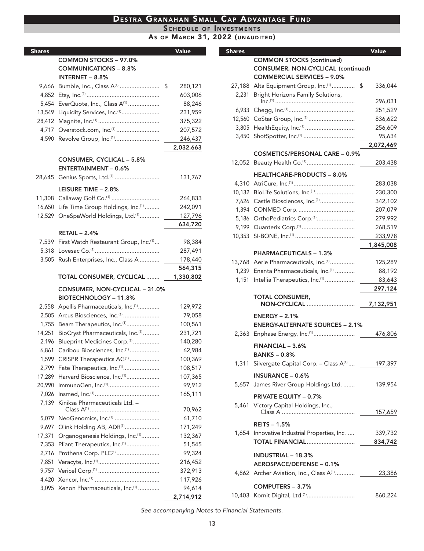SCHEDULE OF INVESTMENTS<br>As of March 31, 2022 (UNAUDITED)

| <b>Shares</b> |                                              | <b>Value</b>  |
|---------------|----------------------------------------------|---------------|
|               | <b>COMMON STOCKS - 97.0%</b>                 |               |
|               | <b>COMMUNICATIONS - 8.8%</b>                 |               |
|               | <b>INTERNET - 8.8%</b>                       |               |
| 9,666         | Bumble, Inc., Class A <sup>(1)</sup>         | \$<br>280,121 |
| 4,852         |                                              | 603,006       |
| 5,454         | EverQuote, Inc., Class A <sup>(1)</sup>      | 88,246        |
| 13,549        | Liquidity Services, Inc. <sup>(1)</sup>      | 231,959       |
| 28,412        |                                              | 375,322       |
| 4,717         | Overstock.com, Inc.(1)                       | 207,572       |
| 4,590         | Revolve Group, Inc. <sup>(1)</sup>           | 246,437       |
|               |                                              | 2,032,663     |
|               | <b>CONSUMER, CYCLICAL - 5.8%</b>             |               |
|               | <b>ENTERTAINMENT - 0.6%</b>                  |               |
|               | 28,645 Genius Sports, Ltd. <sup>(1)</sup>    | 131,767       |
|               |                                              |               |
|               | LEISURE TIME - 2.8%                          |               |
|               | 11,308 Callaway Golf Co. <sup>(1)</sup>      | 264,833       |
| 16,650        | Life Time Group Holdings, Inc.(1)            | 242,091       |
| 12,529        | OneSpaWorld Holdings, Ltd.(1)                | 127,796       |
|               |                                              | 634,720       |
|               | <b>RETAIL - 2.4%</b>                         |               |
| 7,539         | First Watch Restaurant Group, Inc.(1)        | 98,384        |
| 5,318         |                                              | 287,491       |
| 3,505         | Rush Enterprises, Inc., Class A              | 178,440       |
|               |                                              | 564,315       |
|               | TOTAL CONSUMER, CYCLICAL                     | 1,330,802     |
|               | CONSUMER, NON-CYCLICAL - 31.0%               |               |
|               | <b>BIOTECHNOLOGY - 11.8%</b>                 |               |
| 2,558         | Apellis Pharmaceuticals, Inc. <sup>(1)</sup> | 129,972       |
| 2,505         | Arcus Biosciences, Inc. <sup>(1)</sup>       | 79,058        |
| 1,755         | Beam Therapeutics, Inc. <sup>(1)</sup>       | 100,561       |
| 14,251        | BioCryst Pharmaceuticals, Inc.(1)            | 231,721       |
| 2,196         | Blueprint Medicines Corp. <sup>(1)</sup>     | 140,280       |
| 6,861         | Caribou Biosciences, Inc. <sup>(1)</sup>     | 62,984        |
| 1,599         | CRISPR Therapeutics AG <sup>(1)</sup>        | 100,369       |
| 2,799         | Fate Therapeutics, Inc. <sup>(1)</sup>       | 108,517       |
| 17,289        | Harvard Bioscience, Inc. <sup>(1)</sup>      | 107,365       |
| 20,990        | ImmunoGen, Inc. <sup>(1)</sup>               | 99,912        |
| 7,026         |                                              | 165,111       |
| 7,139         | Kiniksa Pharmaceuticals Ltd. -               |               |
|               |                                              | 70,962        |
| 5,079         | NeoGenomics, Inc. <sup>(1)</sup>             | 61,710        |
| 9,697         | Olink Holding AB, ADR(1)                     | 171,249       |
| 17,371        | Organogenesis Holdings, Inc. <sup>(1)</sup>  | 132,367       |
| 7,353         | Pliant Therapeutics, Inc. <sup>(1)</sup>     | 51,545        |
| 2,716         | Prothena Corp. PLC <sup>(1)</sup>            | 99,324        |
| 7,851         |                                              | 216,452       |
| 9,757         |                                              | 372,913       |
| 4,420         |                                              | 117,926       |
| 3,095         | Xenon Pharmaceuticals, Inc.(1)               | 94,614        |
|               |                                              | 2.714.912     |

| <b>Shares</b> |                                                            | Value     |
|---------------|------------------------------------------------------------|-----------|
|               | <b>COMMON STOCKS (continued)</b>                           |           |
|               | CONSUMER, NON-CYCLICAL (continued)                         |           |
|               | <b>COMMERCIAL SERVICES - 9.0%</b>                          |           |
|               | 27,188 Alta Equipment Group, Inc. <sup>(1)</sup> \$        | 336,044   |
| 2.231         | Bright Horizons Family Solutions,                          |           |
|               |                                                            | 296,031   |
| 6,933         |                                                            | 251,529   |
|               | 12,560 CoStar Group, Inc. <sup>(1)</sup>                   | 836,622   |
|               | 3,805 HealthEquity, Inc.(1)                                | 256,609   |
|               | 3,450 ShotSpotter, Inc. <sup>(1)</sup>                     | 95,634    |
|               |                                                            | 2,072,469 |
|               | <b>COSMETICS/PERSONAL CARE - 0.9%</b>                      |           |
|               | 12,052 Beauty Health Co. <sup>(1)</sup>                    | 203,438   |
|               | <b>HEALTHCARE-PRODUCTS - 8.0%</b>                          |           |
|               |                                                            | 283,038   |
|               | 10,132 BioLife Solutions, Inc.(1)                          | 230,300   |
|               | 7,626 Castle Biosciences, Inc. <sup>(1)</sup>              | 342,102   |
|               |                                                            | 207,079   |
|               | 5,186 OrthoPediatrics Corp. <sup>(1)</sup>                 | 279,992   |
|               | 9,199 Quanterix Corp. <sup>(1)</sup>                       | 268,519   |
|               |                                                            | 233,978   |
|               |                                                            | 1,845,008 |
|               | <b>PHARMACEUTICALS - 1.3%</b>                              |           |
|               | 13,768 Aerie Pharmaceuticals, Inc. <sup>(1)</sup>          | 125,289   |
|               | 1,239 Enanta Pharmaceuticals, Inc. <sup>(1)</sup>          | 88,192    |
|               | 1,151 Intellia Therapeutics, Inc. <sup>(1)</sup>           | 83,643    |
|               |                                                            | 297,124   |
|               | <b>TOTAL CONSUMER,</b>                                     |           |
|               | <b>NON-CYCLICAL</b>                                        | 7,132,951 |
|               | $ENERGY - 2.1%$                                            |           |
|               | <b>ENERGY-ALTERNATE SOURCES - 2.1%</b>                     |           |
|               |                                                            | 476,806   |
|               |                                                            |           |
|               | FINANCIAL - 3.6%                                           |           |
|               | <b>BANKS-0.8%</b>                                          |           |
|               | 1,311 Silvergate Capital Corp. - Class A <sup>(1)</sup>    | 197,397   |
|               | <b>INSURANCE - 0.6%</b>                                    |           |
|               | 5,657 James River Group Holdings Ltd.                      | 139,954   |
|               |                                                            |           |
|               | <b>PRIVATE EQUITY - 0.7%</b>                               |           |
|               | 5,461 Victory Capital Holdings, Inc.,                      | 157,659   |
|               |                                                            |           |
|               | <b>REITS - 1.5%</b>                                        |           |
|               | 1,654 Innovative Industrial Properties, Inc.  _____        | 339,732   |
|               | TOTAL FINANCIAL                                            | 834,742   |
|               | <b>INDUSTRIAL - 18.3%</b>                                  |           |
|               | AEROSPACE/DEFENSE - 0.1%                                   |           |
|               | 4,862 Archer Aviation, Inc., Class A <sup>(1)</sup> 23,386 |           |
|               |                                                            |           |
|               | COMPUTERS - 3.7%                                           |           |
|               |                                                            | 860,224   |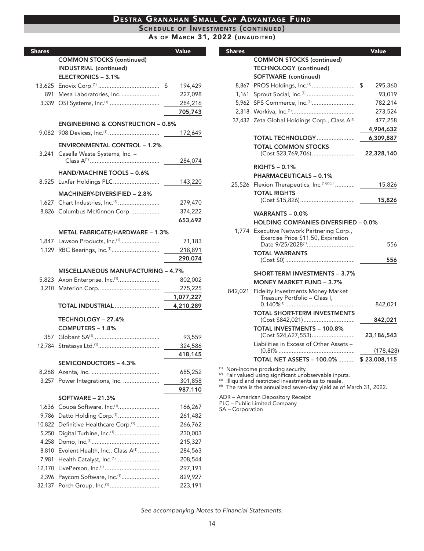#### SCHEDULE OF INVESTMENTS (CONTINUED)

AS OF MARCH 31, 2022 (UNAUDITED)

| <b>Shares</b> |                                              | <b>Value</b> |
|---------------|----------------------------------------------|--------------|
|               | <b>COMMON STOCKS (continued)</b>             |              |
|               | <b>INDUSTRIAL (continued)</b>                |              |
|               | ELECTRONICS - 3.1%                           |              |
|               |                                              | 194,429      |
| 891           | Mesa Laboratories, Inc.                      | 227,098      |
|               | 3,339 OSI Systems, Inc. <sup>(1)</sup>       | 284,216      |
|               |                                              | 705,743      |
|               | <b>ENGINEERING &amp; CONSTRUCTION - 0.8%</b> |              |
|               |                                              | 172,649      |
|               |                                              |              |
|               | <b>ENVIRONMENTAL CONTROL - 1.2%</b>          |              |
| 3.241         | Casella Waste Systems, Inc. -                | 284,074      |
|               |                                              |              |
|               | HAND/MACHINE TOOLS - 0.6%                    |              |
|               |                                              | 143,220      |
|               | <b>MACHINERY-DIVERSIFIED - 2.8%</b>          |              |
|               |                                              | 279,470      |
|               | 8,826 Columbus McKinnon Corp.                | 374,222      |
|               |                                              | 653,692      |
|               | <b>METAL FABRICATE/HARDWARE - 1.3%</b>       |              |
|               | 1,847 Lawson Products, Inc. <sup>(1)</sup>   | 71,183       |
| 1,129         | RBC Bearings, Inc. <sup>(1)</sup>            | 218,891      |
|               |                                              | 290,074      |
|               |                                              |              |
|               | <b>MISCELLANEOUS MANUFACTURING - 4.7%</b>    |              |
|               | 5,823 Axon Enterprise, Inc. <sup>(1)</sup>   | 802,002      |
|               |                                              | 275,225      |
|               |                                              | 1,077,227    |
|               | TOTAL INDUSTRIAL                             | 4,210,289    |
|               | TECHNOLOGY - 27.4%                           |              |
|               | COMPUTERS - 1.8%                             |              |
|               |                                              | 93,559       |
| 12.784        |                                              | 324,586      |
|               |                                              | 418,145      |
|               | <b>SEMICONDUCTORS - 4.3%</b>                 |              |
|               |                                              | 685,252      |
| 3,257         | Power Integrations, Inc.                     | 301,858      |
|               |                                              | 987,110      |
|               | <b>SOFTWARE - 21.3%</b>                      |              |
| 1,636         | Coupa Software, Inc. <sup>(1)</sup>          | 166,267      |
| 9,786         | Datto Holding Corp. <sup>(1)</sup>           | 261,482      |
| 10,822        | Definitive Healthcare Corp. <sup>(1)</sup>   | 266,762      |
| 5,250         | Digital Turbine, Inc. <sup>(1)</sup>         | 230,003      |
| 4,258         |                                              | 215,327      |
| 8,810         | Evolent Health, Inc., Class A <sup>(1)</sup> | 284,563      |
| 7,981         | Health Catalyst, Inc. <sup>(1)</sup>         | 208,544      |
| 12,170        |                                              | 297,191      |
| 2,396         | Paycom Software, Inc. <sup>(1)</sup>         | 829,927      |
|               |                                              | 223,191      |

| <b>Shares</b> |                                                                                                                  | Value         |
|---------------|------------------------------------------------------------------------------------------------------------------|---------------|
|               | <b>COMMON STOCKS (continued)</b>                                                                                 |               |
|               | <b>TECHNOLOGY</b> (continued)                                                                                    |               |
|               | <b>SOFTWARE</b> (continued)                                                                                      |               |
| 8,867         | PROS Holdings, Inc. <sup>(1)</sup>                                                                               | \$<br>295,360 |
|               | 1,161 Sprout Social, Inc. <sup>(1)</sup>                                                                         | 93,019        |
|               | 5,962 SPS Commerce, Inc. <sup>(1)</sup>                                                                          | 782,214       |
|               |                                                                                                                  | 273,524       |
|               | 37,432 Zeta Global Holdings Corp., Class A <sup>(1)</sup>                                                        | 477,258       |
|               |                                                                                                                  | 4,904,632     |
|               | <b>TOTAL TECHNOLOGY </b>                                                                                         | 6,309,887     |
|               | <b>TOTAL COMMON STOCKS</b><br>(Cost \$23,769,706)                                                                | 22,328,140    |
|               | $RIGHTS - 0.1%$                                                                                                  |               |
|               | <b>PHARMACEUTICALS - 0.1%</b>                                                                                    |               |
|               | 25,526 Flexion Therapeutics, Inc. (1)(2)(3)                                                                      | 15,826        |
|               | <b>TOTAL RIGHTS</b>                                                                                              |               |
|               |                                                                                                                  | 15,826        |
|               | WARRANTS $-0.0\%$                                                                                                |               |
|               | <b>HOLDING COMPANIES-DIVERSIFIED - 0.0%</b>                                                                      |               |
|               | 1,774 Executive Network Partnering Corp.,<br>Exercise Price \$11.50, Expiration<br>Date 9/25/2028 <sup>(1)</sup> |               |
|               | <b>TOTAL WARRANTS</b>                                                                                            | 556           |
|               |                                                                                                                  | 556           |
|               |                                                                                                                  |               |
|               | <b>SHORT-TERM INVESTMENTS - 3.7%</b>                                                                             |               |
| 842,021       | <b>MONEY MARKET FUND - 3.7%</b><br>Fidelity Investments Money Market                                             |               |
|               | Treasury Portfolio - Class I,                                                                                    |               |
|               |                                                                                                                  | 842,021       |
|               | <b>TOTAL SHORT-TERM INVESTMENTS</b><br>(Cost \$842,021)                                                          | 842,021       |
|               | <b>TOTAL INVESTMENTS - 100.8%</b><br>(Cost \$24,627,553)                                                         | 23,186,543    |
|               | Liabilities in Excess of Other Assets -                                                                          |               |
|               |                                                                                                                  | (178, 428)    |
|               | <b>TOTAL NET ASSETS - 100.0% </b>                                                                                | \$23,008,115  |

<sup>(1)</sup> Non-income producing security.<br><sup>(2)</sup> Fair valued using significant unobservable inputs.<br><sup>(3)</sup> Illiquid and restricted investments as to resale.<br><sup>(4)</sup> The rate is the annualized seven-day yield as of March 31, 2022.

ADR – American Depository Receipt<br>PLC – Public Limited Company<br>SA – Corporation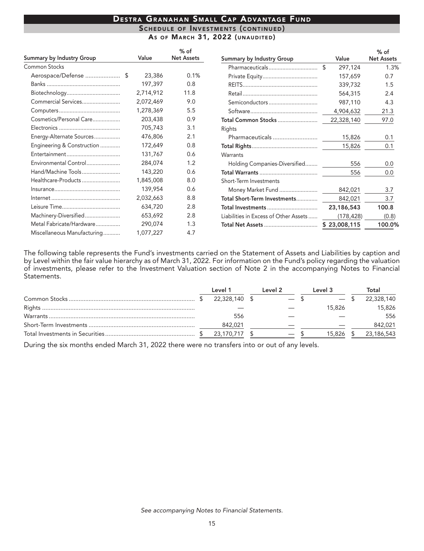% of

**Net Assets** 

1.3%

 $0<sub>7</sub>$ 

 $1.5$ 

 $2.4$ 

4.3

21.3

97.0

 $0.1$ 

 $0.1$ 

 $0.0$ 

 $0.0\,$ 

 $3.7$ 

 $3.7$ 

 $(0.8)$ 

100.0%

100.8

842,021

 $(178, 428)$ 

23,186,543

\$23,008,115

|                                  |           |                             | SCHEDULE OF INVESTMENTS (CONTINUED) |            |
|----------------------------------|-----------|-----------------------------|-------------------------------------|------------|
|                                  |           |                             | AS OF MARCH 31, 2022 (UNAUDITED)    |            |
| <b>Summary by Industry Group</b> | Value     | $%$ of<br><b>Net Assets</b> | <b>Summary by Industry Group</b>    | Value      |
| <b>Common Stocks</b>             |           |                             |                                     | 297,124    |
|                                  | 23,386    | 0.1%                        |                                     | 157,659    |
|                                  | 197,397   | 0.8                         |                                     | 339,732    |
|                                  | 2,714,912 | 11.8                        |                                     | 564,315    |
| Commercial Services              | 2,072,469 | 9.0                         | Semiconductors                      | 987,110    |
|                                  | 1,278,369 | 5.5                         |                                     | 4,904,632  |
| Cosmetics/Personal Care          | 203,438   | 0.9                         | Total Common Stocks                 | 22,328,140 |
|                                  | 705,743   | 3.1                         | Rights                              |            |
| Energy-Alternate Sources         | 476,806   | 2.1                         | Pharmaceuticals                     | 15,826     |
| Engineering & Construction       | 172,649   | 0.8                         |                                     | 15,826     |
|                                  | 131,767   | 0.6                         | Warrants                            |            |
| Environmental Control            | 284,074   | 1.2                         | Holding Companies-Diversified       | 556        |
| Hand/Machine Tools               | 143,220   | 0.6                         |                                     | 556        |
| Healthcare-Products              | 1,845,008 | 8.0                         | Short-Term Investments              |            |
|                                  | 139,954   | 0.6                         | Money Market Fund                   | 842,021    |

8.8

 $2.8$ 

 $2.8$ 

 $1.3$ 

4.7

Machinery-Diversified.......................

Metal Fabricate/Hardware................

Miscellaneous Manufacturing...........

The following table represents the Fund's investments carried on the Statement of Assets and Liabilities by caption and by Level within the fair value hierarchy as of March 31, 2022. For information on the Fund's policy regarding the valuation of investments, please refer to the Investment Valuation section of Note 2 in the accompanying Notes to Financial Statements.

Total Short-Term Investments..............

Total Investments ...................................

Liabilities in Excess of Other Assets ......

|  | Level 1       | Level 2 | Level 3 | Total      |
|--|---------------|---------|---------|------------|
|  | 22.328.140 \$ | $-$ \   |         | 22,328,140 |
|  |               |         | 15.826  | 15,826     |
|  | 556           |         |         | 556        |
|  | 842,021       |         |         | 842,021    |
|  | 23.170.717 \$ |         | 15.826  | 23,186,543 |

During the six months ended March 31, 2022 there were no transfers into or out of any levels.

2,032,663

634,720

653,692

290,074

1,077,227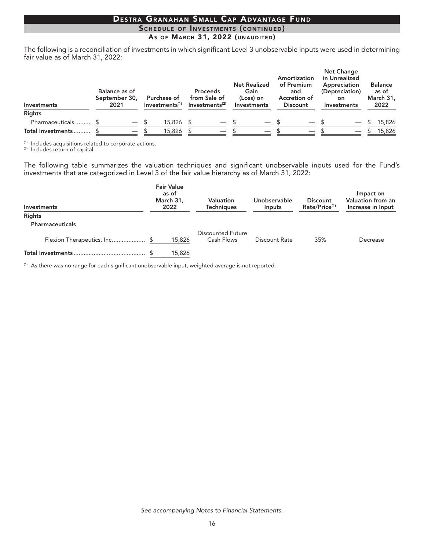### SCHEDULE OF INVESTMENTS (CONTINUED) AS OF MARCH 31, 2022 (UNAUDITED)

The following is a reconciliation of investments in which significant Level 3 unobservable inputs were used in determining fair value as of March 31, 2022:

| Investments        | Balance as of<br>September 30,<br>2021 |                          | Purchase of<br>Investments <sup>(1)</sup> | <b>Proceeds</b><br>from Sale of<br>Investments <sup>(2)</sup> | <b>Net Realized</b><br>Gain<br>(Loss) on<br>Investments |                          | Amortization<br>of Premium<br>and<br>Accretion of<br><b>Discount</b> | <b>Net Change</b><br>in Unrealized<br>Appreciation<br>(Depreciation)<br>on.<br>Investments | <b>Balance</b><br>as of<br>March 31,<br>2022 |
|--------------------|----------------------------------------|--------------------------|-------------------------------------------|---------------------------------------------------------------|---------------------------------------------------------|--------------------------|----------------------------------------------------------------------|--------------------------------------------------------------------------------------------|----------------------------------------------|
| <b>Rights</b>      |                                        |                          |                                           |                                                               |                                                         |                          |                                                                      |                                                                                            |                                              |
| Pharmaceuticals \$ |                                        |                          | 15,826                                    |                                                               |                                                         | $\overline{\phantom{0}}$ |                                                                      |                                                                                            | 15,826                                       |
| Total Investments  |                                        | $\overline{\phantom{0}}$ | 15,826                                    | $\overline{\phantom{0}}$                                      |                                                         |                          |                                                                      |                                                                                            | 15,826                                       |

(1) Includes acquisitions related to corporate actions.<br>(2) Includes return of capital.

The following table summarizes the valuation techniques and significant unobservable inputs used for the Fund's investments that are categorized in Level 3 of the fair value hierarchy as of March 31, 2022:

| Investments                  | <b>Fair Value</b><br>as of<br>March 31,<br>2022 | Valuation<br><b>Techniaues</b>         | <b>Unobservable</b><br><b>Inputs</b> | <b>Discount</b><br>Rate/Price <sup>(1)</sup> | Impact on<br>Valuation from an<br>Increase in Input |
|------------------------------|-------------------------------------------------|----------------------------------------|--------------------------------------|----------------------------------------------|-----------------------------------------------------|
| Rights                       |                                                 |                                        |                                      |                                              |                                                     |
| <b>Pharmaceuticals</b>       |                                                 |                                        |                                      |                                              |                                                     |
| Flexion Therapeutics, Inc \$ | 15,826                                          | <b>Discounted Future</b><br>Cash Flows | Discount Rate                        | 35%                                          | Decrease                                            |
|                              | 15,826                                          |                                        |                                      |                                              |                                                     |

<sup>(1)</sup> As there was no range for each significant unobservable input, weighted average is not reported.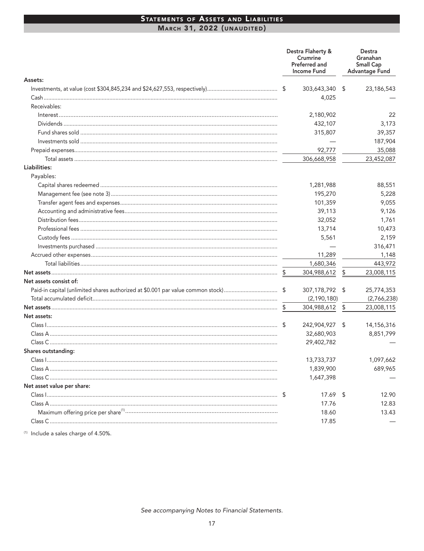### STATEMENTS OF ASSETS AND LIABILITIES MARCH 31, 2022 (UNAUDITED)

|                                                                                 |      | Destra Flaherty &<br>Crumrine<br>Preferred and<br>Income Fund | Destra<br>Granahan<br><b>Small Cap</b><br><b>Advantage Fund</b> |
|---------------------------------------------------------------------------------|------|---------------------------------------------------------------|-----------------------------------------------------------------|
| Assets:                                                                         |      |                                                               |                                                                 |
|                                                                                 | - \$ | 303,643,340                                                   | \$<br>23,186,543                                                |
|                                                                                 |      | 4,025                                                         |                                                                 |
| Receivables:                                                                    |      |                                                               |                                                                 |
|                                                                                 |      | 2,180,902                                                     | 22                                                              |
|                                                                                 |      | 432,107                                                       | 3,173                                                           |
|                                                                                 |      | 315,807                                                       | 39,357                                                          |
|                                                                                 |      |                                                               | 187,904                                                         |
|                                                                                 |      | 92,777                                                        | 35,088                                                          |
|                                                                                 |      | 306,668,958                                                   | 23,452,087                                                      |
| Liabilities:                                                                    |      |                                                               |                                                                 |
| Payables:                                                                       |      |                                                               |                                                                 |
|                                                                                 |      | 1,281,988                                                     | 88,551                                                          |
|                                                                                 |      | 195,270                                                       | 5,228                                                           |
|                                                                                 |      | 101,359                                                       | 9,055                                                           |
|                                                                                 |      | 39,113                                                        | 9,126                                                           |
|                                                                                 |      | 32,052                                                        | 1,761                                                           |
|                                                                                 |      | 13,714                                                        | 10,473                                                          |
|                                                                                 |      | 5,561                                                         | 2,159                                                           |
|                                                                                 |      |                                                               | 316,471                                                         |
|                                                                                 |      | 11,289                                                        | 1,148                                                           |
|                                                                                 |      | 1,680,346                                                     | 443,972                                                         |
|                                                                                 |      | 304,988,612                                                   | \$<br>23,008,115                                                |
| Net assets consist of:                                                          |      |                                                               |                                                                 |
| Paid-in capital (unlimited shares authorized at \$0.001 par value common stock) | S.   | 307,178,792 \$                                                | 25,774,353                                                      |
|                                                                                 |      | (2, 190, 180)                                                 | (2,766,238)                                                     |
|                                                                                 | \$   | 304,988,612                                                   | \$<br>23,008,115                                                |
| Net assets:                                                                     |      |                                                               |                                                                 |
|                                                                                 | S    | 242,904,927                                                   | \$<br>14,156,316                                                |
|                                                                                 |      | 32,680,903                                                    | 8,851,799                                                       |
|                                                                                 |      | 29,402,782                                                    |                                                                 |
| Shares outstanding:                                                             |      |                                                               |                                                                 |
| Class 1                                                                         |      | 13,733,737                                                    | 1,097,662                                                       |
|                                                                                 |      | 1,839,900                                                     | 689,965                                                         |
|                                                                                 |      | 1,647,398                                                     |                                                                 |
| Net asset value per share:                                                      |      |                                                               |                                                                 |
|                                                                                 |      | $17.69$ \$                                                    | 12.90                                                           |
|                                                                                 |      | 17.76                                                         | 12.83                                                           |
|                                                                                 |      | 18.60                                                         | 13.43                                                           |
|                                                                                 |      | 17.85                                                         |                                                                 |

<sup>(1)</sup> Include a sales charge of 4.50%.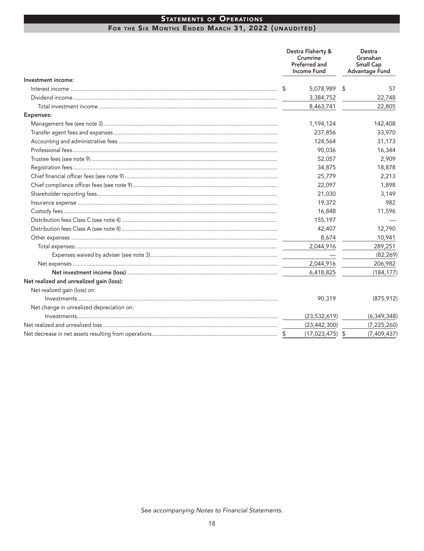### **STATEMENTS OF OPERATIONS** FOR THE SIX MONTHS ENDED MARCH 31, 2022 (UNAUDITED)

|                                           | Destra Flaherty &<br>Crumrine<br>Preferred and<br><b>Income Fund</b> | Destra<br>Granahan<br><b>Small Cap</b><br><b>Advantage Fund</b> |
|-------------------------------------------|----------------------------------------------------------------------|-----------------------------------------------------------------|
| Investment income:                        |                                                                      |                                                                 |
|                                           | 5,078,989 \$                                                         | 57                                                              |
|                                           | 3,384,752                                                            | 22,748                                                          |
|                                           | 8,463,741                                                            | 22,805                                                          |
| <b>Expenses:</b>                          |                                                                      |                                                                 |
|                                           | 1,194,124                                                            | 142,408                                                         |
|                                           | 237,856                                                              | 33,970                                                          |
|                                           | 124,564                                                              | 31,173                                                          |
|                                           | 90,036                                                               | 16,344                                                          |
|                                           | 52,057                                                               | 2,909                                                           |
|                                           | 34,875                                                               | 18,878                                                          |
|                                           | 25,779                                                               | 2,213                                                           |
|                                           | 22,097                                                               | 1,898                                                           |
|                                           | 21,030                                                               | 3,149                                                           |
|                                           | 19,372                                                               | 982                                                             |
|                                           | 16,848                                                               | 11,596                                                          |
|                                           | 155,197                                                              |                                                                 |
|                                           | 42,407                                                               | 12,790                                                          |
|                                           | 8,674                                                                | 10,941                                                          |
|                                           | 2,044,916                                                            | 289,251                                                         |
|                                           |                                                                      | (82, 269)                                                       |
|                                           | 2,044,916                                                            | 206,982                                                         |
|                                           | 6,418,825                                                            | (184, 177)                                                      |
| Net realized and unrealized gain (loss):  |                                                                      |                                                                 |
| Net realized gain (loss) on:              |                                                                      |                                                                 |
|                                           | 90,319                                                               | (875, 912)                                                      |
| Net change in unrealized depreciation on: |                                                                      |                                                                 |
|                                           | (23, 532, 619)                                                       | (6, 349, 348)                                                   |
|                                           | (23, 442, 300)                                                       | (7, 225, 260)                                                   |
|                                           | \$<br>$(17,023,475)$ \$                                              | (7,409,437)                                                     |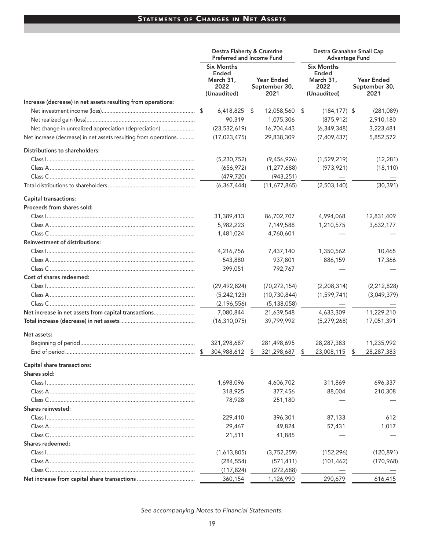# STATEMENTS OF CHANGES IN NET ASSETS

|                                                                 | Destra Flaherty & Crumrine<br><b>Preferred and Income Fund</b> |                                     | Destra Granahan Small Cap<br><b>Advantage Fund</b>                    |                                     |
|-----------------------------------------------------------------|----------------------------------------------------------------|-------------------------------------|-----------------------------------------------------------------------|-------------------------------------|
|                                                                 | <b>Six Months</b><br>Ended<br>March 31,<br>2022<br>(Unaudited) | Year Ended<br>September 30,<br>2021 | <b>Six Months</b><br><b>Ended</b><br>March 31,<br>2022<br>(Unaudited) | Year Ended<br>September 30,<br>2021 |
| Increase (decrease) in net assets resulting from operations:    |                                                                |                                     |                                                                       |                                     |
|                                                                 | 6,418,825 \$                                                   | 12,058,560 \$                       | $(184, 177)$ \$                                                       | (281,089)                           |
|                                                                 | 90,319                                                         | 1,075,306                           | (875, 912)                                                            | 2,910,180                           |
| Net change in unrealized appreciation (depreciation)            | (23, 532, 619)                                                 | 16,704,443                          | (6, 349, 348)                                                         | 3,223,481                           |
| Net increase (decrease) in net assets resulting from operations | (17, 023, 475)                                                 | 29,838,309                          | (7,409,437)                                                           | 5,852,572                           |
| Distributions to shareholders:                                  |                                                                |                                     |                                                                       |                                     |
|                                                                 | (5,230,752)                                                    | (9,456,926)                         | (1,529,219)                                                           | (12, 281)                           |
|                                                                 | (656, 972)                                                     | (1, 277, 688)                       | (973, 921)                                                            | (18, 110)                           |
|                                                                 | (479, 720)                                                     | (943, 251)                          |                                                                       |                                     |
|                                                                 | (6, 367, 444)                                                  | (11,677,865)                        | (2,503,140)                                                           | (30, 391)                           |
| Capital transactions:                                           |                                                                |                                     |                                                                       |                                     |
| Proceeds from shares sold:                                      |                                                                |                                     |                                                                       |                                     |
|                                                                 | 31,389,413                                                     | 86,702,707                          | 4,994,068<br>1,210,575                                                | 12,831,409                          |
|                                                                 | 5,982,223                                                      | 7,149,588                           |                                                                       | 3,632,177                           |
| <b>Reinvestment of distributions:</b>                           | 1,481,024                                                      | 4,760,601                           |                                                                       |                                     |
|                                                                 | 4,216,756                                                      | 7,437,140                           | 1,350,562                                                             | 10,465                              |
| Class A …………………………………………………………………………………                         | 543,880                                                        | 937,801                             | 886,159                                                               | 17,366                              |
|                                                                 | 399,051                                                        | 792,767                             |                                                                       |                                     |
| Cost of shares redeemed:                                        |                                                                |                                     |                                                                       |                                     |
|                                                                 | (29, 492, 824)                                                 | (70, 272, 154)                      | (2,208,314)                                                           | (2, 212, 828)                       |
| Class A …………………………………………………………………………………                         | (5,242,123)                                                    | (10, 730, 844)                      | (1,599,741)                                                           |                                     |
|                                                                 |                                                                |                                     |                                                                       | (3,049,379)                         |
|                                                                 | (2, 196, 556)                                                  | (5, 138, 058)                       |                                                                       |                                     |
| Net increase in net assets from capital transactions            | 7,080,844                                                      | 21,639,548                          | 4,633,309                                                             | 11,229,210                          |
|                                                                 | (16, 310, 075)                                                 | 39,799,992                          | (5,279,268)                                                           | 17,051,391                          |
| Net assets:                                                     |                                                                |                                     |                                                                       |                                     |
|                                                                 | 321,298,687                                                    | 281,498,695                         | 28,287,383                                                            | 11,235,992                          |
|                                                                 | 304,988,612                                                    | 321,298,687                         | 23,008,115                                                            | 28,287,383<br>S                     |
| Capital share transactions:                                     |                                                                |                                     |                                                                       |                                     |
| Shares sold:                                                    |                                                                |                                     |                                                                       |                                     |
|                                                                 | 1,698,096                                                      | 4,606,702                           | 311,869                                                               | 696,337                             |
| Class A …………………………………………………………………………………                         | 318,925                                                        | 377,456                             | 88,004                                                                | 210,308                             |
| <b>Shares reinvested:</b>                                       | 78,928                                                         | 251,180                             |                                                                       |                                     |
|                                                                 |                                                                |                                     |                                                                       | 612                                 |
|                                                                 | 229,410                                                        | 396,301                             | 87,133                                                                |                                     |
| Class A …………………………………………………………………………………                         | 29,467                                                         | 49,824                              | 57,431                                                                | 1,017                               |
| Shares redeemed:                                                | 21,511                                                         | 41,885                              |                                                                       |                                     |
|                                                                 |                                                                |                                     |                                                                       |                                     |
|                                                                 | (1,613,805)                                                    | (3,752,259)                         | (152, 296)                                                            | (120, 891)                          |
| Class A …………………………………………………………………………………                         | (284, 554)                                                     | (571, 411)                          | (101, 462)                                                            | (170, 968)                          |
|                                                                 | (117, 824)<br>360,154                                          | (272, 688)                          | 290,679                                                               | 616,415                             |
|                                                                 |                                                                | 1,126,990                           |                                                                       |                                     |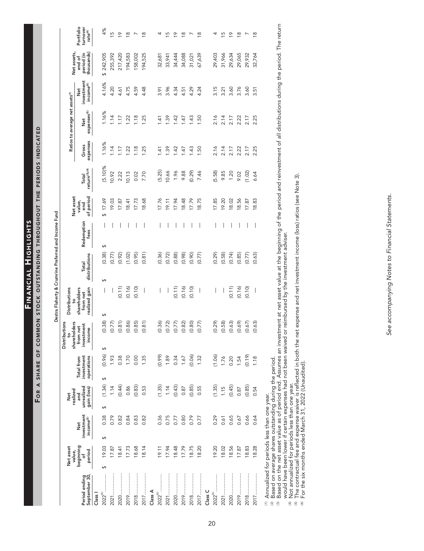FINANCIAL HIGHLIGHTS

FOR A SHARE OF COMMON STOCK OUTSTANDING THROUGHOUT THE PERIODS INDICATED

|                                | Net asset<br>value,      |                                           | realized<br>Net                  |                                        | Distributions<br>g                               | Distributions                             |                               |                    | Net asset                  |                                    |                   | Ratios to average net assets <sup>(1)</sup> |                                            | Net assets                         |                                              |
|--------------------------------|--------------------------|-------------------------------------------|----------------------------------|----------------------------------------|--------------------------------------------------|-------------------------------------------|-------------------------------|--------------------|----------------------------|------------------------------------|-------------------|---------------------------------------------|--------------------------------------------|------------------------------------|----------------------------------------------|
| September 30,<br>Period ending | beginning<br>period<br>p | nvestment<br>income <sup>(2)</sup><br>Net | unrealized<br>gain (loss)<br>and | investment<br>operations<br>Total from | shareholders<br>from net<br>investment<br>income | shareholders<br>realized gain<br>from net | distributions<br><b>Total</b> | Redemption<br>fees | of period<br>value,<br>end | return <sup>(3),(4)</sup><br>Total | expenses<br>Gross | expenses <sup>(5)</sup><br>Net              | investment<br>income <sup>(5)</sup><br>Net | thousands)<br>period (in<br>end of | Portfolio<br>turnover<br>rate <sup>(4)</sup> |
| Class I                        |                          |                                           |                                  |                                        |                                                  |                                           |                               |                    |                            |                                    |                   |                                             |                                            |                                    |                                              |
| <br>2022 <sup>(6)</sup>        | 19.03<br>↔               | 0.38<br>↔                                 | (1.34)<br>↔                      | (0.96)<br>↔                            | (0.38)<br>↔                                      | I<br>$\Theta$                             | (0.38)<br>$\Theta$            | I<br>$\Theta$      | 17.69<br>G                 | $(5.10)\%$                         | 1.16%             | 1.16%                                       | 4.16%                                      | \$242,905                          | 4%                                           |
|                                | 17.87                    | 0.79                                      | 1.14                             | 1.93                                   | (0.77)                                           |                                           | (0.77)                        |                    | 19.03                      | 10.92                              | 114               | 1.14                                        | 4.20                                       | 255,392                            | S                                            |
| <br>2020                       | 18.41                    | 0.82                                      | (0.44)                           | 0.38                                   | (0.81)                                           | (0.11)                                    | (0.92)                        |                    | 17.87                      | 2.22                               | 1.17              | 1.17                                        | 4.61                                       | 217,420                            | $\overline{P}$                               |
| 2019                           | 17.73                    | 0.84                                      | 0.86                             | 1.70                                   | (0.86)                                           | (0.16)                                    | (1.02)                        |                    | 18.41                      | 10.13                              | $\overline{22}$   | 1.22                                        | 4.75                                       | 194,583                            | $\frac{8}{1}$                                |
|                                | 18.68                    | 0.83                                      | (0.83)                           | 0.00                                   | (0.85)                                           | (0.10)                                    | (0.95)                        |                    | 17.73                      | 0.02                               | $\frac{8}{10}$    | 1.18                                        | 4.59                                       | 158,002                            |                                              |
|                                | 18.14                    | 0.82                                      | 0.53                             | 1.35                                   | (0.81)                                           | $\overline{\phantom{a}}$                  | (0.81)                        |                    | 18.68                      | 7.70                               | 1.25              | 1.25                                        | 4.48                                       | 194,525                            | $\frac{8}{1}$                                |
| Class A                        |                          |                                           |                                  |                                        |                                                  |                                           |                               |                    |                            |                                    |                   |                                             |                                            |                                    |                                              |
| .<br>2022 <sup>(6)</sup>       | 19.11                    | 0.36                                      | (1.35)                           | (0.99)                                 | (0.36)                                           | I                                         | (0.36)                        |                    | 17.76                      | (5.25)                             | 1.41              | 1.41                                        | 3.91                                       | 32,681                             |                                              |
|                                | 17.94                    | 0.75                                      | 1.14                             | 1.89                                   | (0.72)                                           | I                                         | (0.72)                        |                    | 19.11                      | 10.66                              | 1.39              | 1.39                                        | 3.96                                       | 33,941                             | ഥ                                            |
|                                | 18.48                    | 0.77                                      | (0.43)                           | 0.34                                   | (0.77)                                           | (0.11)                                    | (0.88)                        |                    | 17.94                      | 1.96                               | 1.42              | 1.42                                        | 4.34                                       | 34,444                             | ₽                                            |
|                                | 17.79                    | 0.80                                      | 0.87                             | 1.67                                   | (0.82)                                           | (0.16)                                    | (0.98)                        |                    | 18.48                      | 9.88                               | 1.47              | 1.47                                        | 4.51                                       | 34,088                             | $\frac{8}{1}$                                |
|                                | 18.75                    | 0.79                                      | (0.85)                           | (0.06)                                 | (0.80)                                           | (0.10)                                    | (0.90)                        |                    | 17.79                      | (0.29)                             | 1.43              | 1.43                                        | 4.29                                       | 31,021                             |                                              |
|                                | 18.20                    | 0.77                                      | 0.55                             | 1.32                                   | (0.77)                                           | $\bigg $                                  | (0.77)                        | I                  | 18.75                      | 7.46                               | 1.50              | 1.50                                        | 4.24                                       | 67,639                             | $\frac{8}{1}$                                |
| Class C                        |                          |                                           |                                  |                                        |                                                  |                                           |                               |                    |                            |                                    |                   |                                             |                                            |                                    |                                              |
| 2022 <sup>(6)</sup> .          | 19.20                    | 0.29                                      | (1.35)                           | 1.06                                   | (0.29)                                           |                                           | (0.29)                        |                    | 17.85                      | (5.58)                             | 2.16              | 2.16                                        | 3.15                                       | 29,403                             |                                              |
|                                | 18.02                    | 0.61                                      | 1.15                             | 1.76                                   | (0.58)                                           |                                           | (0.58)                        |                    | 19.20                      | 9.85                               | 2.14              | 2.14                                        | 3.21                                       | 31,966                             | ഥ                                            |
| <br>2020                       | 18.56                    | 0.65                                      | (0.45)                           | 0.20                                   | (0.63)                                           | (0.11)                                    | (0.74)                        |                    | 18.02                      | 1.20                               | 2.17              | 2.17                                        | 3.60                                       | 29,634                             | ₽                                            |
|                                | 17.87                    | 0.67                                      | 0.87                             | 1.54                                   | (0.69)                                           | (0.16)                                    | (0.85)                        |                    | 18.56                      | 9.02                               | 2.22              | 2.22                                        | 3.76                                       | 29,065                             | ≌                                            |
|                                | 18.83                    | 0.66                                      | (0.85)                           | (0.19)                                 | (0.67)                                           | (0.10)                                    | (0.77)                        |                    | 17.87                      | (1.02)                             | 2.17              | 2.17                                        | 3.60                                       | 29,932                             |                                              |
|                                | 18.28                    | 0.64                                      | 0.54                             | 1.18                                   | (0.63)                                           | $\mid$                                    | (0.63)                        | $\bigg $           | 18.83                      | 6.64                               | 2.25              | 2.25                                        | 3.51                                       | 32,764                             | $\frac{8}{1}$                                |
|                                |                          |                                           |                                  |                                        |                                                  |                                           |                               |                    |                            |                                    |                   |                                             |                                            |                                    |                                              |

Destra Flaherty & Crumrine Preferred and Income Fund

<sup>ก</sup> Annualized for periods less than one year.<br><sup>ผ Based on average shares outstanding during the period.<br><sup>ผ Based</sup> on the net asset value as of period end. Assumes an investment at net asset value at the beginning of the </sup>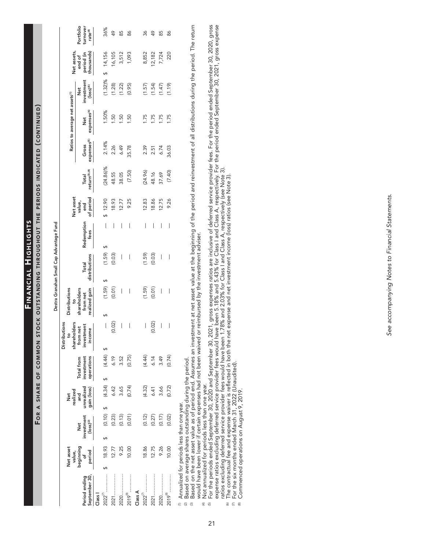FINANCIAL HIGHLIGHTS

FOR A SHARE OF COMMON STOCK OUTSTANDING THROUGHOUT THE PERIODS INDICATED (CONTINUED)

|                                                                                                      |                                    |       |                                                    |                                              |                                  |                              |                                        | Distributions                                   |                          |                                           |                          |                    |                            |       |                        |                                  |                                             |                                                                               |                                    |                                  |
|------------------------------------------------------------------------------------------------------|------------------------------------|-------|----------------------------------------------------|----------------------------------------------|----------------------------------|------------------------------|----------------------------------------|-------------------------------------------------|--------------------------|-------------------------------------------|--------------------------|--------------------|----------------------------|-------|------------------------|----------------------------------|---------------------------------------------|-------------------------------------------------------------------------------|------------------------------------|----------------------------------|
|                                                                                                      | Net asset                          |       |                                                    |                                              | realized<br>Net                  |                              |                                        | $\frac{1}{2}$                                   |                          | <b>Distributions</b><br><u>م</u>          |                          |                    | Net asset                  |       |                        |                                  | Ratios to average net assets <sup>(1)</sup> |                                                                               | Net assets,                        |                                  |
| September 30,<br>Period ending                                                                       | value,<br>beginning<br>period<br>Ⴆ |       | nvestment<br>$(\log)$ <sup>(2)</sup><br><b>Det</b> |                                              | unrealized<br>gain (loss)<br>and |                              | investment<br>operations<br>Total from | shareholders<br>from net<br>investment<br>ncome |                          | shareholders<br>realized gain<br>from net | distributions<br>Total   | Redemption<br>fees | of period<br>value,<br>end |       | return(3),(4)<br>Total | expenses <sup>(5)</sup><br>Gross | expenses <sup>(6)</sup><br>Net              | investment<br>$\frac{(\text{loss})^{(6)}}{(\text{loss})^{(7)}}$<br><b>Net</b> | chousands)<br>period (in<br>end of | Portfolio<br>turnover<br>rate(4) |
| Class I                                                                                              |                                    |       |                                                    |                                              |                                  |                              |                                        |                                                 |                          |                                           |                          |                    |                            |       |                        |                                  |                                             |                                                                               |                                    |                                  |
|                                                                                                      | 18.93                              |       |                                                    |                                              | G                                |                              |                                        |                                                 | $\vert$                  | (1.59)                                    | (1.59)<br>M              |                    | \$12.90<br>$\mid$          |       | $(24.86)\%$            | 2.14%                            | 1.50%                                       | $(1.32)\%$                                                                    | 14,156                             | 36%                              |
|                                                                                                      |                                    | 12.77 |                                                    |                                              |                                  | $(4.34)$<br>$6.42$<br>$3.65$ | $(4.44)$<br>6.19                       |                                                 | (0.02)                   | (0.01)                                    | (0.03)                   | I                  |                            | 18.93 | 48.55                  | 2.26                             | 1.50                                        |                                                                               | 16,105                             | 49                               |
|                                                                                                      |                                    | 9.25  |                                                    | $(0.10)$<br>$(0.23)$<br>$(0.13)$<br>$(0.01)$ |                                  |                              | 3.52                                   |                                                 | $\mid$                   | $\overline{\phantom{a}}$                  | $\mid$                   | I                  |                            | 12.77 | 38.05                  | 6.49                             | 1.50                                        | $(1.28)$<br>$(1.22)$<br>$(0.95)$                                              | 3,512<br>1,093                     | 85                               |
| :<br>:<br>:<br>:<br>:<br><br><br><br><br><br><br><br><br><br><br><br><br><br><br>2019 <sup>(8)</sup> |                                    | 10.00 |                                                    |                                              |                                  | (0.74)                       | (0.75)                                 |                                                 | $\overline{\phantom{a}}$ | $\overline{\phantom{a}}$                  | $\overline{\phantom{0}}$ | I                  |                            | 9.25  | (7.50)                 | 35.78                            | 1.50                                        |                                                                               |                                    | 86                               |
| Class A                                                                                              |                                    |       |                                                    |                                              |                                  |                              |                                        |                                                 |                          |                                           |                          |                    |                            |       |                        |                                  |                                             |                                                                               |                                    |                                  |
|                                                                                                      |                                    | 18.86 |                                                    |                                              | $(4.32)$<br>6.41                 |                              |                                        |                                                 | I                        |                                           |                          | I                  |                            | 12.83 |                        | 2.39                             | 1.75                                        |                                                                               | 8,852                              | 36                               |
|                                                                                                      |                                    | 12.75 |                                                    |                                              |                                  |                              | $(4.44)$<br>$6.14$<br>$3.49$           |                                                 | (0.02)                   | $(1.59)$<br>$(0.01)$                      | $(1.59)$<br>$(0.03)$     | I                  |                            | 18.86 | $(24.96)$<br>48.16     | $2.51$<br>6.74                   | 1.75                                        |                                                                               |                                    | ᡩ                                |
|                                                                                                      |                                    | 9.26  |                                                    | $(0.12)$<br>$(0.27)$<br>$(0.17)$<br>$(0.02)$ | 3.66                             |                              |                                        |                                                 | I                        | I                                         | I                        | I                  |                            | 12.75 | 37.69                  |                                  | 1.75                                        | 157)<br>1547<br>1547<br>155                                                   | $\frac{12,182}{7,724}$             | 85                               |
| :<br>:<br>:<br>:<br>:<br><br><br><br><br><br><br><br><br><br><br><br><br>2019 <sup>(8)</sup>         |                                    | 10.00 |                                                    |                                              |                                  | (0.72)                       | (0.74)                                 |                                                 | I                        | $\overline{\phantom{a}}$                  | $\bigg $                 | I                  |                            | 9.26  | (7.40)                 | 36.03                            | 1.75                                        |                                                                               |                                    | 86                               |
| (1) Annualized for periods less than one vear.                                                       |                                    |       |                                                    |                                              |                                  |                              |                                        |                                                 |                          |                                           |                          |                    |                            |       |                        |                                  |                                             |                                                                               |                                    |                                  |

Destra Granahan Small Cap Advantage Fund

Annualized tor periods less than one year.

 $\widehat{\bowtie}$  $\widehat{\mathfrak{S}}$ 

Based on average shares outstanding during the period.<br>Based on the net asset value as of period end. Assumes an investment at net asset value at the beginning of the period and reinvestment of all distributions during the would have been lower if certain expenses had not been waived or reimbursed by the investment adviser.

Not annualized for periods less than one year.  $\oplus$ 

For the periods ended September 30, 2020 and September 30, 2021, gross expenses ratios are inclusive of deferred service provider fees. For the period ended September 30, 2020, gross<br>rexpense ratios excluding deferred serv  $\begin{array}{c} \text{5} \end{array}$ 

 $\widehat{\mathfrak{D}}$   $\widehat{\mathfrak{D}}$ 

 $\circledcirc$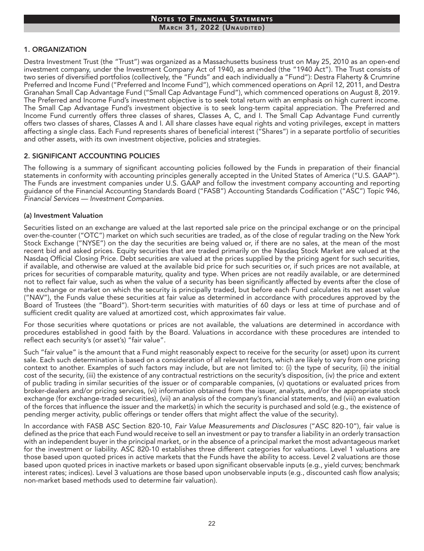### 1. ORGANIZATION

Destra Investment Trust (the "Trust") was organized as a Massachusetts business trust on May 25, 2010 as an open-end investment company, under the Investment Company Act of 1940, as amended (the "1940 Act"). The Trust consists of two series of diversified portfolios (collectively, the "Funds" and each individually a "Fund"): Destra Flaherty & Crumrine Preferred and Income Fund ("Preferred and Income Fund"), which commenced operations on April 12, 2011, and Destra Granahan Small Cap Advantage Fund ("Small Cap Advantage Fund"), which commenced operations on August 8, 2019. The Preferred and Income Fund's investment objective is to seek total return with an emphasis on high current income. The Small Cap Advantage Fund's investment objective is to seek long-term capital appreciation. The Preferred and Income Fund currently offers three classes of shares, Classes A, C, and I. The Small Cap Advantage Fund currently offers two classes of shares, Classes A and I. All share classes have equal rights and voting privileges, except in matters affecting a single class. Each Fund represents shares of beneficial interest ("Shares") in a separate portfolio of securities and other assets, with its own investment objective, policies and strategies.

#### 2. SIGNIFICANT ACCOUNTING POLICIES

The following is a summary of significant accounting policies followed by the Funds in preparation of their financial statements in conformity with accounting principles generally accepted in the United States of America ("U.S. GAAP"). The Funds are investment companies under U.S. GAAP and follow the investment company accounting and reporting guidance of the Financial Accounting Standards Board ("FASB") Accounting Standards Codification ("ASC") Topic 946, *Financial Services — Investment Companies*.

#### (a) Investment Valuation

Securities listed on an exchange are valued at the last reported sale price on the principal exchange or on the principal over-the-counter ("OTC") market on which such securities are traded, as of the close of regular trading on the New York Stock Exchange ("NYSE") on the day the securities are being valued or, if there are no sales, at the mean of the most recent bid and asked prices. Equity securities that are traded primarily on the Nasdaq Stock Market are valued at the Nasdaq Official Closing Price. Debt securities are valued at the prices supplied by the pricing agent for such securities, if available, and otherwise are valued at the available bid price for such securities or, if such prices are not available, at prices for securities of comparable maturity, quality and type. When prices are not readily available, or are determined not to reflect fair value, such as when the value of a security has been significantly affected by events after the close of the exchange or market on which the security is principally traded, but before each Fund calculates its net asset value ("NAV"), the Funds value these securities at fair value as determined in accordance with procedures approved by the Board of Trustees (the "Board"). Short-term securities with maturities of 60 days or less at time of purchase and of sufficient credit quality are valued at amortized cost, which approximates fair value.

For those securities where quotations or prices are not available, the valuations are determined in accordance with procedures established in good faith by the Board. Valuations in accordance with these procedures are intended to reflect each security's (or asset's) "fair value".

Such "fair value" is the amount that a Fund might reasonably expect to receive for the security (or asset) upon its current sale. Each such determination is based on a consideration of all relevant factors, which are likely to vary from one pricing context to another. Examples of such factors may include, but are not limited to: (i) the type of security, (ii) the initial cost of the security, (iii) the existence of any contractual restrictions on the security's disposition, (iv) the price and extent of public trading in similar securities of the issuer or of comparable companies, (v) quotations or evaluated prices from broker-dealers and/or pricing services, (vi) information obtained from the issuer, analysts, and/or the appropriate stock exchange (for exchange-traded securities), (vii) an analysis of the company's financial statements, and (viii) an evaluation of the forces that influence the issuer and the market(s) in which the security is purchased and sold (e.g., the existence of pending merger activity, public offerings or tender offers that might affect the value of the security).

In accordance with FASB ASC Section 820-10, *Fair Value Measurements and Disclosures* ("ASC 820-10"), fair value is defined as the price that each Fund would receive to sell an investment or pay to transfer a liability in an orderly transaction with an independent buyer in the principal market, or in the absence of a principal market the most advantageous market for the investment or liability. ASC 820-10 establishes three different categories for valuations. Level 1 valuations are those based upon quoted prices in active markets that the Funds have the ability to access. Level 2 valuations are those based upon quoted prices in inactive markets or based upon significant observable inputs (e.g., yield curves; benchmark interest rates; indices). Level 3 valuations are those based upon unobservable inputs (e.g., discounted cash flow analysis; non-market based methods used to determine fair valuation).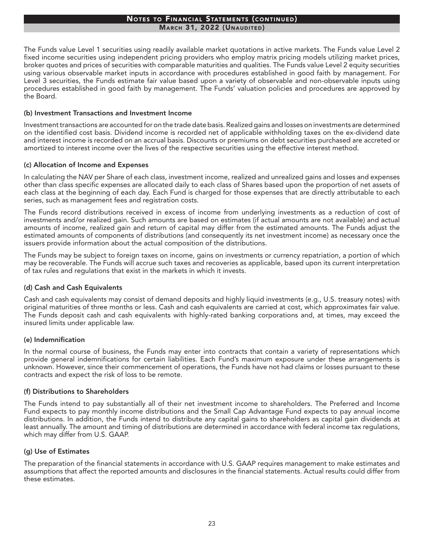#### Notes to Financial Statements (continued) **MARCH 31, 2022 (UNAUDITED)**

The Funds value Level 1 securities using readily available market quotations in active markets. The Funds value Level 2 fixed income securities using independent pricing providers who employ matrix pricing models utilizing market prices, broker quotes and prices of securities with comparable maturities and qualities. The Funds value Level 2 equity securities using various observable market inputs in accordance with procedures established in good faith by management. For Level 3 securities, the Funds estimate fair value based upon a variety of observable and non-observable inputs using procedures established in good faith by management. The Funds' valuation policies and procedures are approved by the Board.

#### (b) Investment Transactions and Investment Income

Investment transactions are accounted for on the trade date basis. Realized gains and losses on investments are determined on the identified cost basis. Dividend income is recorded net of applicable withholding taxes on the ex-dividend date and interest income is recorded on an accrual basis. Discounts or premiums on debt securities purchased are accreted or amortized to interest income over the lives of the respective securities using the effective interest method.

#### (c) Allocation of Income and Expenses

In calculating the NAV per Share of each class, investment income, realized and unrealized gains and losses and expenses other than class specific expenses are allocated daily to each class of Shares based upon the proportion of net assets of each class at the beginning of each day. Each Fund is charged for those expenses that are directly attributable to each series, such as management fees and registration costs.

The Funds record distributions received in excess of income from underlying investments as a reduction of cost of investments and/or realized gain. Such amounts are based on estimates (if actual amounts are not available) and actual amounts of income, realized gain and return of capital may differ from the estimated amounts. The Funds adjust the estimated amounts of components of distributions (and consequently its net investment income) as necessary once the issuers provide information about the actual composition of the distributions.

The Funds may be subject to foreign taxes on income, gains on investments or currency repatriation, a portion of which may be recoverable. The Funds will accrue such taxes and recoveries as applicable, based upon its current interpretation of tax rules and regulations that exist in the markets in which it invests.

#### (d) Cash and Cash Equivalents

Cash and cash equivalents may consist of demand deposits and highly liquid investments (e.g., U.S. treasury notes) with original maturities of three months or less. Cash and cash equivalents are carried at cost, which approximates fair value. The Funds deposit cash and cash equivalents with highly-rated banking corporations and, at times, may exceed the insured limits under applicable law.

#### (e) Indemnification

In the normal course of business, the Funds may enter into contracts that contain a variety of representations which provide general indemnifications for certain liabilities. Each Fund's maximum exposure under these arrangements is unknown. However, since their commencement of operations, the Funds have not had claims or losses pursuant to these contracts and expect the risk of loss to be remote.

#### (f) Distributions to Shareholders

The Funds intend to pay substantially all of their net investment income to shareholders. The Preferred and Income Fund expects to pay monthly income distributions and the Small Cap Advantage Fund expects to pay annual income distributions. In addition, the Funds intend to distribute any capital gains to shareholders as capital gain dividends at least annually. The amount and timing of distributions are determined in accordance with federal income tax regulations, which may differ from U.S. GAAP.

#### (g) Use of Estimates

The preparation of the financial statements in accordance with U.S. GAAP requires management to make estimates and assumptions that affect the reported amounts and disclosures in the financial statements. Actual results could differ from these estimates.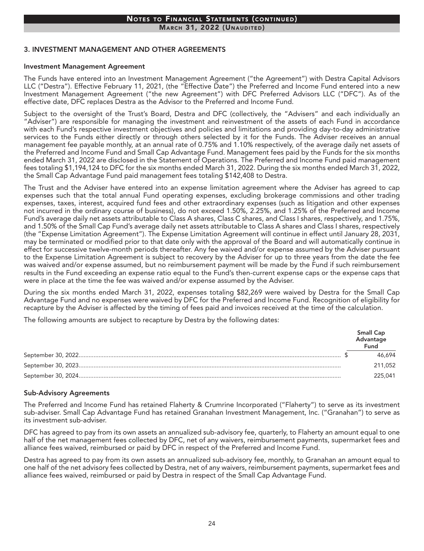# Notes to Financial Statements (continued)

**MARCH 31, 2022 (UNAUDITED)** 

#### 3. INVESTMENT MANAGEMENT AND OTHER AGREEMENTS

#### Investment Management Agreement

The Funds have entered into an Investment Management Agreement ("the Agreement") with Destra Capital Advisors LLC ("Destra"). Effective February 11, 2021, (the "Effective Date") the Preferred and Income Fund entered into a new Investment Management Agreement ("the new Agreement") with DFC Preferred Advisors LLC ("DFC"). As of the effective date, DFC replaces Destra as the Advisor to the Preferred and Income Fund.

Subject to the oversight of the Trust's Board, Destra and DFC (collectively, the "Advisers" and each individually an "Adviser") are responsible for managing the investment and reinvestment of the assets of each Fund in accordance with each Fund's respective investment objectives and policies and limitations and providing day-to-day administrative services to the Funds either directly or through others selected by it for the Funds. The Adviser receives an annual management fee payable monthly, at an annual rate of 0.75% and 1.10% respectively, of the average daily net assets of the Preferred and Income Fund and Small Cap Advantage Fund. Management fees paid by the Funds for the six months ended March 31, 2022 are disclosed in the Statement of Operations. The Preferred and Income Fund paid management fees totaling \$1,194,124 to DFC for the six months ended March 31, 2022. During the six months ended March 31, 2022, the Small Cap Advantage Fund paid management fees totaling \$142,408 to Destra.

The Trust and the Adviser have entered into an expense limitation agreement where the Adviser has agreed to cap expenses such that the total annual Fund operating expenses, excluding brokerage commissions and other trading expenses, taxes, interest, acquired fund fees and other extraordinary expenses (such as litigation and other expenses not incurred in the ordinary course of business), do not exceed 1.50%, 2.25%, and 1.25% of the Preferred and Income Fund's average daily net assets attributable to Class A shares, Class C shares, and Class I shares, respectively, and 1.75%, and 1.50% of the Small Cap Fund's average daily net assets attributable to Class A shares and Class I shares, respectively (the "Expense Limitation Agreement"). The Expense Limitation Agreement will continue in effect until January 28, 2031, may be terminated or modified prior to that date only with the approval of the Board and will automatically continue in effect for successive twelve-month periods thereafter. Any fee waived and/or expense assumed by the Adviser pursuant to the Expense Limitation Agreement is subject to recovery by the Adviser for up to three years from the date the fee was waived and/or expense assumed, but no reimbursement payment will be made by the Fund if such reimbursement results in the Fund exceeding an expense ratio equal to the Fund's then-current expense caps or the expense caps that were in place at the time the fee was waived and/or expense assumed by the Adviser.

During the six months ended March 31, 2022, expenses totaling \$82,269 were waived by Destra for the Small Cap Advantage Fund and no expenses were waived by DFC for the Preferred and Income Fund. Recognition of eligibility for recapture by the Adviser is affected by the timing of fees paid and invoices received at the time of the calculation.

The following amounts are subject to recapture by Destra by the following dates:

| Small Cap<br>Advantage<br>Fund |
|--------------------------------|
| 46 694                         |
| 211.052                        |
| 225.041                        |

#### Sub-Advisory Agreements

The Preferred and Income Fund has retained Flaherty & Crumrine Incorporated ("Flaherty") to serve as its investment sub-adviser. Small Cap Advantage Fund has retained Granahan Investment Management, Inc. ("Granahan") to serve as its investment sub-adviser.

DFC has agreed to pay from its own assets an annualized sub-advisory fee, quarterly, to Flaherty an amount equal to one half of the net management fees collected by DFC, net of any waivers, reimbursement payments, supermarket fees and alliance fees waived, reimbursed or paid by DFC in respect of the Preferred and Income Fund.

Destra has agreed to pay from its own assets an annualized sub-advisory fee, monthly, to Granahan an amount equal to one half of the net advisory fees collected by Destra, net of any waivers, reimbursement payments, supermarket fees and alliance fees waived, reimbursed or paid by Destra in respect of the Small Cap Advantage Fund.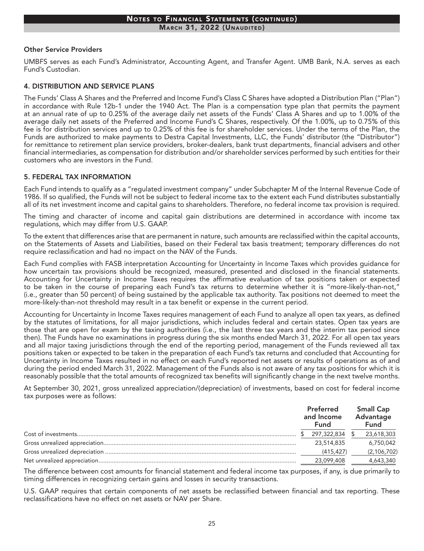#### Notes to Financial Statements (continued) **MARCH 31, 2022 (UNAUDITED)**

#### Other Service Providers

UMBFS serves as each Fund's Administrator, Accounting Agent, and Transfer Agent. UMB Bank, N.A. serves as each Fund's Custodian.

#### 4. DISTRIBUTION AND SERVICE PLANS

The Funds' Class A Shares and the Preferred and Income Fund's Class C Shares have adopted a Distribution Plan ("Plan") in accordance with Rule 12b-1 under the 1940 Act. The Plan is a compensation type plan that permits the payment at an annual rate of up to 0.25% of the average daily net assets of the Funds' Class A Shares and up to 1.00% of the average daily net assets of the Preferred and Income Fund's C Shares, respectively. Of the 1.00%, up to 0.75% of this fee is for distribution services and up to 0.25% of this fee is for shareholder services. Under the terms of the Plan, the Funds are authorized to make payments to Destra Capital Investments, LLC, the Funds' distributor (the "Distributor") for remittance to retirement plan service providers, broker-dealers, bank trust departments, financial advisers and other financial intermediaries, as compensation for distribution and/or shareholder services performed by such entities for their customers who are investors in the Fund.

#### 5. FEDERAL TAX INFORMATION

Each Fund intends to qualify as a "regulated investment company" under Subchapter M of the Internal Revenue Code of 1986. If so qualified, the Funds will not be subject to federal income tax to the extent each Fund distributes substantially all of its net investment income and capital gains to shareholders. Therefore, no federal income tax provision is required.

The timing and character of income and capital gain distributions are determined in accordance with income tax regulations, which may differ from U.S. GAAP.

To the extent that differences arise that are permanent in nature, such amounts are reclassified within the capital accounts, on the Statements of Assets and Liabilities, based on their Federal tax basis treatment; temporary differences do not require reclassification and had no impact on the NAV of the Funds.

Each Fund complies with FASB interpretation Accounting for Uncertainty in Income Taxes which provides guidance for how uncertain tax provisions should be recognized, measured, presented and disclosed in the financial statements. Accounting for Uncertainty in Income Taxes requires the affirmative evaluation of tax positions taken or expected to be taken in the course of preparing each Fund's tax returns to determine whether it is "more-likely-than-not," (i.e., greater than 50 percent) of being sustained by the applicable tax authority. Tax positions not deemed to meet the more-likely-than-not threshold may result in a tax benefit or expense in the current period.

Accounting for Uncertainty in Income Taxes requires management of each Fund to analyze all open tax years, as defined by the statutes of limitations, for all major jurisdictions, which includes federal and certain states. Open tax years are those that are open for exam by the taxing authorities (i.e., the last three tax years and the interim tax period since then). The Funds have no examinations in progress during the six months ended March 31, 2022. For all open tax years and all major taxing jurisdictions through the end of the reporting period, management of the Funds reviewed all tax positions taken or expected to be taken in the preparation of each Fund's tax returns and concluded that Accounting for Uncertainty in Income Taxes resulted in no effect on each Fund's reported net assets or results of operations as of and during the period ended March 31, 2022. Management of the Funds also is not aware of any tax positions for which it is reasonably possible that the total amounts of recognized tax benefits will significantly change in the next twelve months.

At September 30, 2021, gross unrealized appreciation/(depreciation) of investments, based on cost for federal income tax purposes were as follows:

|  | <b>Preferred</b><br>and Income<br>Fund | <b>Small Cap</b><br>Advantage<br><b>Fund</b> |
|--|----------------------------------------|----------------------------------------------|
|  | 297,322,834                            | 23,618,303                                   |
|  | 23,514,835                             | 6,750,042                                    |
|  | (415, 427)                             | (2, 106, 702)                                |
|  | 23,099,408                             | 4,643,340                                    |

The difference between cost amounts for financial statement and federal income tax purposes, if any, is due primarily to timing differences in recognizing certain gains and losses in security transactions.

U.S. GAAP requires that certain components of net assets be reclassified between financial and tax reporting. These reclassifications have no effect on net assets or NAV per Share.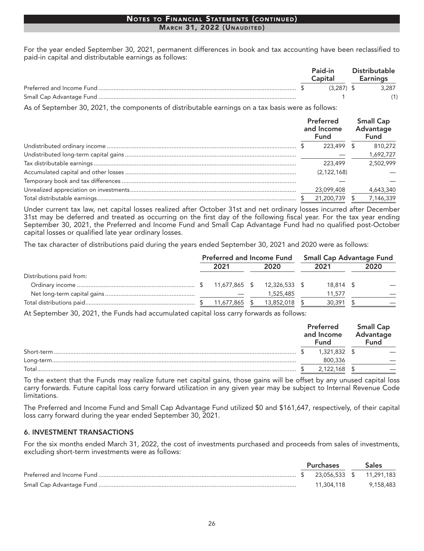#### Notes to Financial Statements (continued) March 31, 2022 (Unaudited)

For the year ended September 30, 2021, permanent differences in book and tax accounting have been reclassified to paid-in capital and distributable earnings as follows:

|  | Paid-in<br>Capital | Distributable<br>Earnings |
|--|--------------------|---------------------------|
|  | $(3.287)$ \$       | 3,287                     |
|  |                    |                           |

As of September 30, 2021, the components of distributable earnings on a tax basis were as follows:

| Preferred<br>and Income<br><b>Fund</b> | <b>Small Cap</b><br>Advantage<br><b>Fund</b> |
|----------------------------------------|----------------------------------------------|
| 223,499 \$                             | 810.272                                      |
|                                        | 1,692,727                                    |
| 223,499                                | 2.502.999                                    |
| (2, 122, 168)                          |                                              |
|                                        |                                              |
| 23,099,408                             | 4,643,340                                    |
| 21,200,739                             | 7,146,339                                    |

Under current tax law, net capital losses realized after October 31st and net ordinary losses incurred after December 31st may be deferred and treated as occurring on the first day of the following fiscal year. For the tax year ending September 30, 2021, the Preferred and Income Fund and Small Cap Advantage Fund had no qualified post-October capital losses or qualified late year ordinary losses.

The tax character of distributions paid during the years ended September 30, 2021 and 2020 were as follows:

|                          | <b>Preferred and Income Fund</b> |               | <b>Small Cap Advantage Fund</b> |      |
|--------------------------|----------------------------------|---------------|---------------------------------|------|
|                          | 2021                             | 2020          | 2021                            | 2020 |
| Distributions paid from: |                                  |               |                                 |      |
|                          |                                  | 12,326,533 \$ | 18,814 \$                       |      |
|                          |                                  | 1,525,485     | 11,577                          |      |
|                          | 11,677,865                       | 13,852,018 \$ | 30,391                          |      |

At September 30, 2021, the Funds had accumulated capital loss carry forwards as follows:

|             | Preferred<br>and Income<br>Fund | <b>Small Cap</b><br>Advantage<br>Fund |
|-------------|---------------------------------|---------------------------------------|
| Short-term. | 1,321,832 \$                    |                                       |
|             | 800,336                         |                                       |
| Total       | 2.122.168                       |                                       |

To the extent that the Funds may realize future net capital gains, those gains will be offset by any unused capital loss carry forwards. Future capital loss carry forward utilization in any given year may be subject to Internal Revenue Code limitations.

The Preferred and Income Fund and Small Cap Advantage Fund utilized \$0 and \$161,647, respectively, of their capital loss carry forward during the year ended September 30, 2021.

#### 6. INVESTMENT TRANSACTIONS

For the six months ended March 31, 2022, the cost of investments purchased and proceeds from sales of investments, excluding short-term investments were as follows:

|  | <b>Purchases</b> | <b>Sales</b> |
|--|------------------|--------------|
|  |                  |              |
|  | 11.304.118       | 9,158,483    |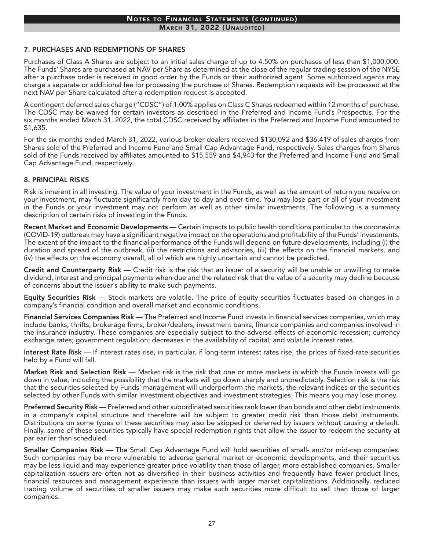# Notes to Financial Statements (continued)

**MARCH 31, 2022 (UNAUDITED)** 

#### 7. PURCHASES AND REDEMPTIONS OF SHARES

Purchases of Class A Shares are subject to an initial sales charge of up to 4.50% on purchases of less than \$1,000,000. The Funds' Shares are purchased at NAV per Share as determined at the close of the regular trading session of the NYSE after a purchase order is received in good order by the Funds or their authorized agent. Some authorized agents may charge a separate or additional fee for processing the purchase of Shares. Redemption requests will be processed at the next NAV per Share calculated after a redemption request is accepted.

A contingent deferred sales charge ("CDSC") of 1.00% applies on Class C Shares redeemed within 12 months of purchase. The CDSC may be waived for certain investors as described in the Preferred and Income Fund's Prospectus. For the six months ended March 31, 2022, the total CDSC received by affiliates in the Preferred and Income Fund amounted to \$1,635.

For the six months ended March 31, 2022, various broker dealers received \$130,092 and \$36,419 of sales charges from Shares sold of the Preferred and Income Fund and Small Cap Advantage Fund, respectively. Sales charges from Shares sold of the Funds received by affiliates amounted to \$15,559 and \$4,943 for the Preferred and Income Fund and Small Cap Advantage Fund, respectively.

#### 8. PRINCIPAL RISKS

Risk is inherent in all investing. The value of your investment in the Funds, as well as the amount of return you receive on your investment, may fluctuate significantly from day to day and over time. You may lose part or all of your investment in the Funds or your investment may not perform as well as other similar investments. The following is a summary description of certain risks of investing in the Funds.

Recent Market and Economic Developments — Certain impacts to public health conditions particular to the coronavirus (COVID-19) outbreak may have a significant negative impact on the operations and profitability of the Funds' investments. The extent of the impact to the financial performance of the Funds will depend on future developments, including (i) the duration and spread of the outbreak, (ii) the restrictions and advisories, (iii) the effects on the financial markets, and (iv) the effects on the economy overall, all of which are highly uncertain and cannot be predicted.

Credit and Counterparty Risk — Credit risk is the risk that an issuer of a security will be unable or unwilling to make dividend, interest and principal payments when due and the related risk that the value of a security may decline because of concerns about the issuer's ability to make such payments.

Equity Securities Risk — Stock markets are volatile. The price of equity securities fluctuates based on changes in a company's financial condition and overall market and economic conditions.

Financial Services Companies Risk — The Preferred and Income Fund invests in financial services companies, which may include banks, thrifts, brokerage firms, broker/dealers, investment banks, finance companies and companies involved in the insurance industry. These companies are especially subject to the adverse effects of economic recession; currency exchange rates; government regulation; decreases in the availability of capital; and volatile interest rates.

Interest Rate Risk — If interest rates rise, in particular, if long-term interest rates rise, the prices of fixed-rate securities held by a Fund will fall.

Market Risk and Selection Risk — Market risk is the risk that one or more markets in which the Funds invests will go down in value, including the possibility that the markets will go down sharply and unpredictably. Selection risk is the risk that the securities selected by Funds' management will underperform the markets, the relevant indices or the securities selected by other Funds with similar investment objectives and investment strategies. This means you may lose money.

Preferred Security Risk — Preferred and other subordinated securities rank lower than bonds and other debt instruments in a company's capital structure and therefore will be subject to greater credit risk than those debt instruments. Distributions on some types of these securities may also be skipped or deferred by issuers without causing a default. Finally, some of these securities typically have special redemption rights that allow the issuer to redeem the security at par earlier than scheduled.

Smaller Companies Risk — The Small Cap Advantage Fund will hold securities of small- and/or mid-cap companies. Such companies may be more vulnerable to adverse general market or economic developments, and their securities may be less liquid and may experience greater price volatility than those of larger, more established companies. Smaller capitalization issuers are often not as diversified in their business activities and frequently have fewer product lines, financial resources and management experience than issuers with larger market capitalizations. Additionally, reduced trading volume of securities of smaller issuers may make such securities more difficult to sell than those of larger companies.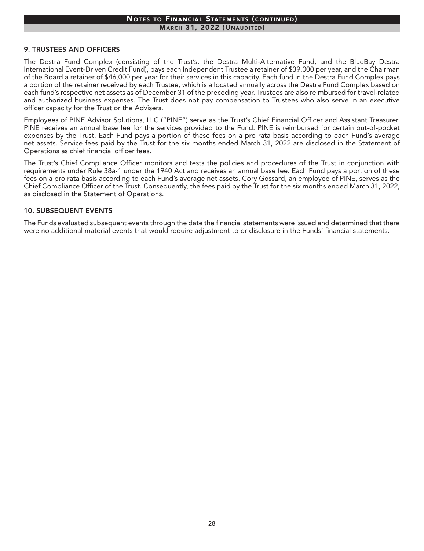# Notes to Financial Statements (continued)

**MARCH 31, 2022 (UNAUDITED)** 

#### 9. TRUSTEES AND OFFICERS

The Destra Fund Complex (consisting of the Trust's, the Destra Multi-Alternative Fund, and the BlueBay Destra International Event-Driven Credit Fund), pays each Independent Trustee a retainer of \$39,000 per year, and the Chairman of the Board a retainer of \$46,000 per year for their services in this capacity. Each fund in the Destra Fund Complex pays a portion of the retainer received by each Trustee, which is allocated annually across the Destra Fund Complex based on each fund's respective net assets as of December 31 of the preceding year. Trustees are also reimbursed for travel-related and authorized business expenses. The Trust does not pay compensation to Trustees who also serve in an executive officer capacity for the Trust or the Advisers.

Employees of PINE Advisor Solutions, LLC ("PINE") serve as the Trust's Chief Financial Officer and Assistant Treasurer. PINE receives an annual base fee for the services provided to the Fund. PINE is reimbursed for certain out-of-pocket expenses by the Trust. Each Fund pays a portion of these fees on a pro rata basis according to each Fund's average net assets. Service fees paid by the Trust for the six months ended March 31, 2022 are disclosed in the Statement of Operations as chief financial officer fees.

The Trust's Chief Compliance Officer monitors and tests the policies and procedures of the Trust in conjunction with requirements under Rule 38a-1 under the 1940 Act and receives an annual base fee. Each Fund pays a portion of these fees on a pro rata basis according to each Fund's average net assets. Cory Gossard, an employee of PINE, serves as the Chief Compliance Officer of the Trust. Consequently, the fees paid by the Trust for the six months ended March 31, 2022, as disclosed in the Statement of Operations.

#### 10. SUBSEQUENT EVENTS

The Funds evaluated subsequent events through the date the financial statements were issued and determined that there were no additional material events that would require adjustment to or disclosure in the Funds' financial statements.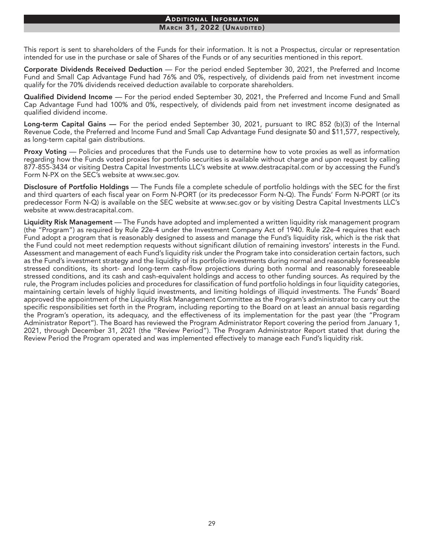#### Additional Information **MARCH 31, 2022 (UNAUDITED)**

This report is sent to shareholders of the Funds for their information. It is not a Prospectus, circular or representation intended for use in the purchase or sale of Shares of the Funds or of any securities mentioned in this report.

Corporate Dividends Received Deduction — For the period ended September 30, 2021, the Preferred and Income Fund and Small Cap Advantage Fund had 76% and 0%, respectively, of dividends paid from net investment income qualify for the 70% dividends received deduction available to corporate shareholders.

Qualified Dividend Income — For the period ended September 30, 2021, the Preferred and Income Fund and Small Cap Advantage Fund had 100% and 0%, respectively, of dividends paid from net investment income designated as qualified dividend income.

Long-term Capital Gains — For the period ended September 30, 2021, pursuant to IRC 852 (b)(3) of the Internal Revenue Code, the Preferred and Income Fund and Small Cap Advantage Fund designate \$0 and \$11,577, respectively, as long-term capital gain distributions.

Proxy Voting — Policies and procedures that the Funds use to determine how to vote proxies as well as information regarding how the Funds voted proxies for portfolio securities is available without charge and upon request by calling 877-855-3434 or visiting Destra Capital Investments LLC's website at www.destracapital.com or by accessing the Fund's Form N-PX on the SEC's website at www.sec.gov.

Disclosure of Portfolio Holdings — The Funds file a complete schedule of portfolio holdings with the SEC for the first and third quarters of each fiscal year on Form N-PORT (or its predecessor Form N-Q). The Funds' Form N-PORT (or its predecessor Form N-Q) is available on the SEC website at www.sec.gov or by visiting Destra Capital Investments LLC's website at [www.destracapital.com](http://www.destracapital.com).

Liquidity Risk Management — The Funds have adopted and implemented a written liquidity risk management program (the "Program") as required by Rule 22e-4 under the Investment Company Act of 1940. Rule 22e-4 requires that each Fund adopt a program that is reasonably designed to assess and manage the Fund's liquidity risk, which is the risk that the Fund could not meet redemption requests without significant dilution of remaining investors' interests in the Fund. Assessment and management of each Fund's liquidity risk under the Program take into consideration certain factors, such as the Fund's investment strategy and the liquidity of its portfolio investments during normal and reasonably foreseeable stressed conditions, its short- and long-term cash-flow projections during both normal and reasonably foreseeable stressed conditions, and its cash and cash-equivalent holdings and access to other funding sources. As required by the rule, the Program includes policies and procedures for classification of fund portfolio holdings in four liquidity categories, maintaining certain levels of highly liquid investments, and limiting holdings of illiquid investments. The Funds' Board approved the appointment of the Liquidity Risk Management Committee as the Program's administrator to carry out the specific responsibilities set forth in the Program, including reporting to the Board on at least an annual basis regarding the Program's operation, its adequacy, and the effectiveness of its implementation for the past year (the "Program Administrator Report"). The Board has reviewed the Program Administrator Report covering the period from January 1, 2021, through December 31, 2021 (the "Review Period"). The Program Administrator Report stated that during the Review Period the Program operated and was implemented effectively to manage each Fund's liquidity risk.